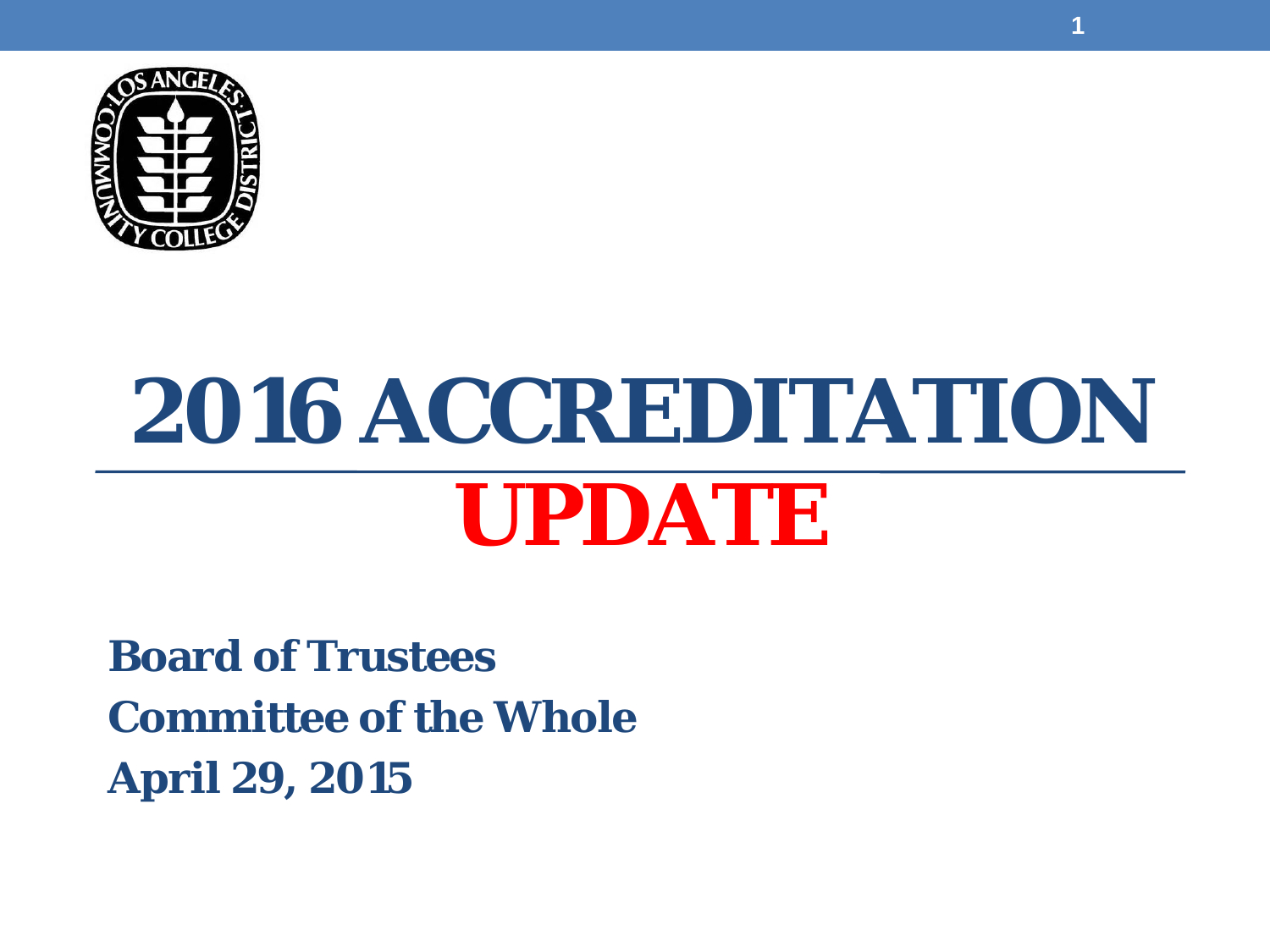

# **2016 ACCREDITATION UPDATE**

**Board of Trustees Committee of the Whole April 29, 2015**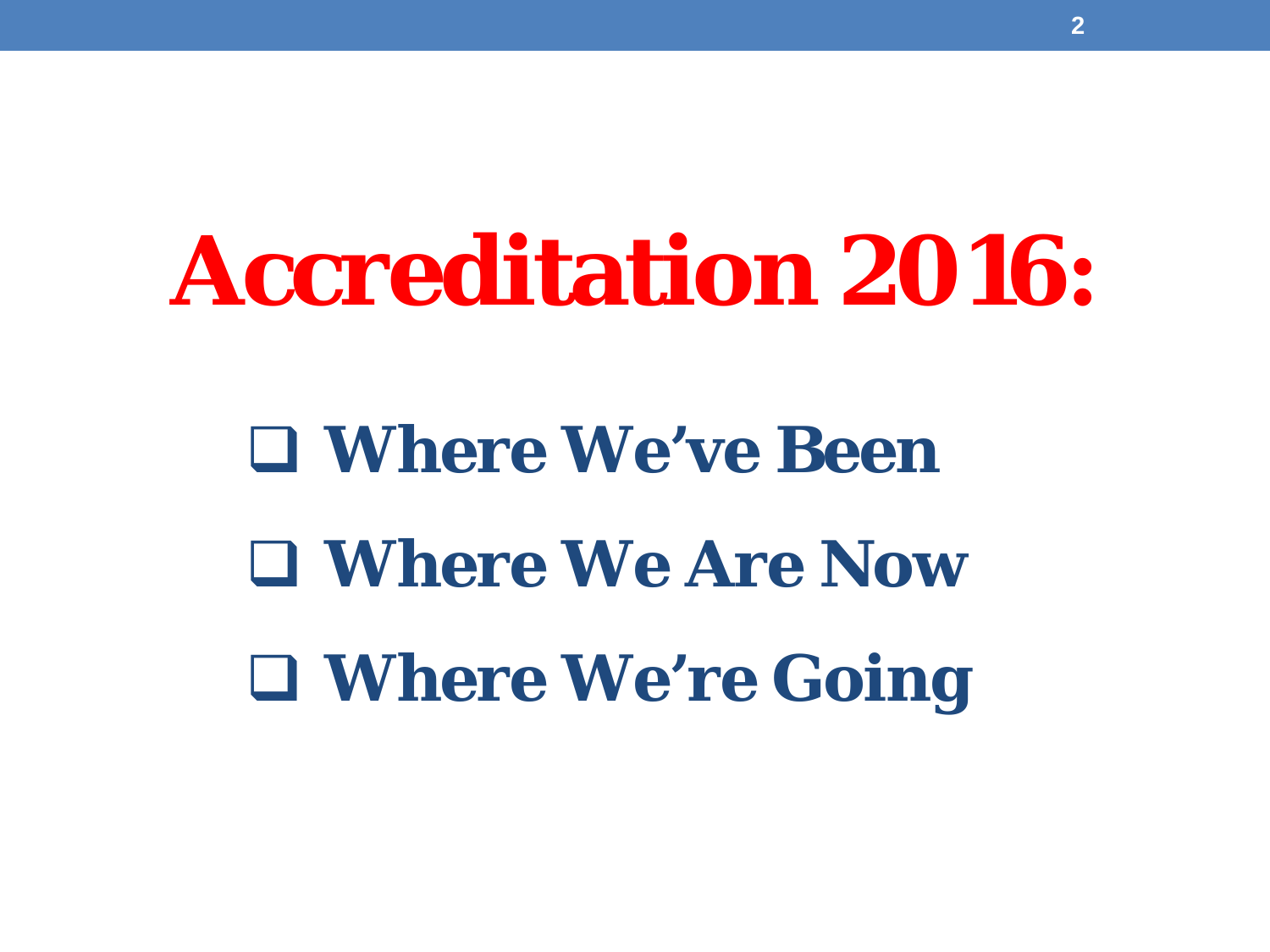# **Accreditation 2016:**

 **Where We've Been Where We Are Now Where We're Going**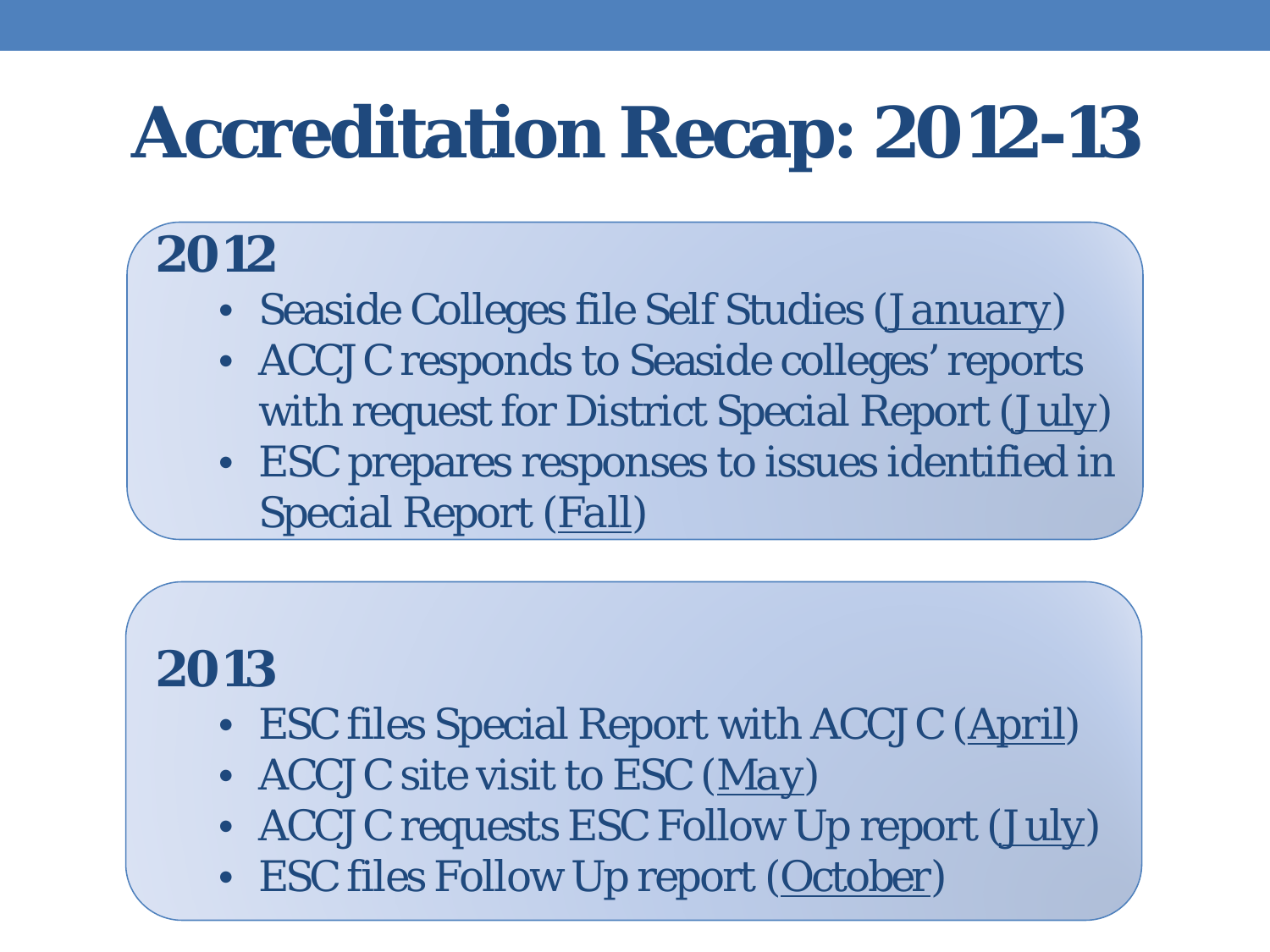# **Accreditation Recap: 2012-13**

#### **2012**

- Seaside Colleges file Self Studies (*January*)
- ACCJC responds to Seaside colleges' reports with request for District Special Report (*July*)
- ESC prepares responses to issues identified in Special Report (*Fall*)

#### **2013**

- ESC files Special Report with ACCJC (*April*)
- ACCJC site visit to ESC (*May*)
- ACCJC requests ESC Follow Up report (*July*)
- ESC files Follow Up report (*October)*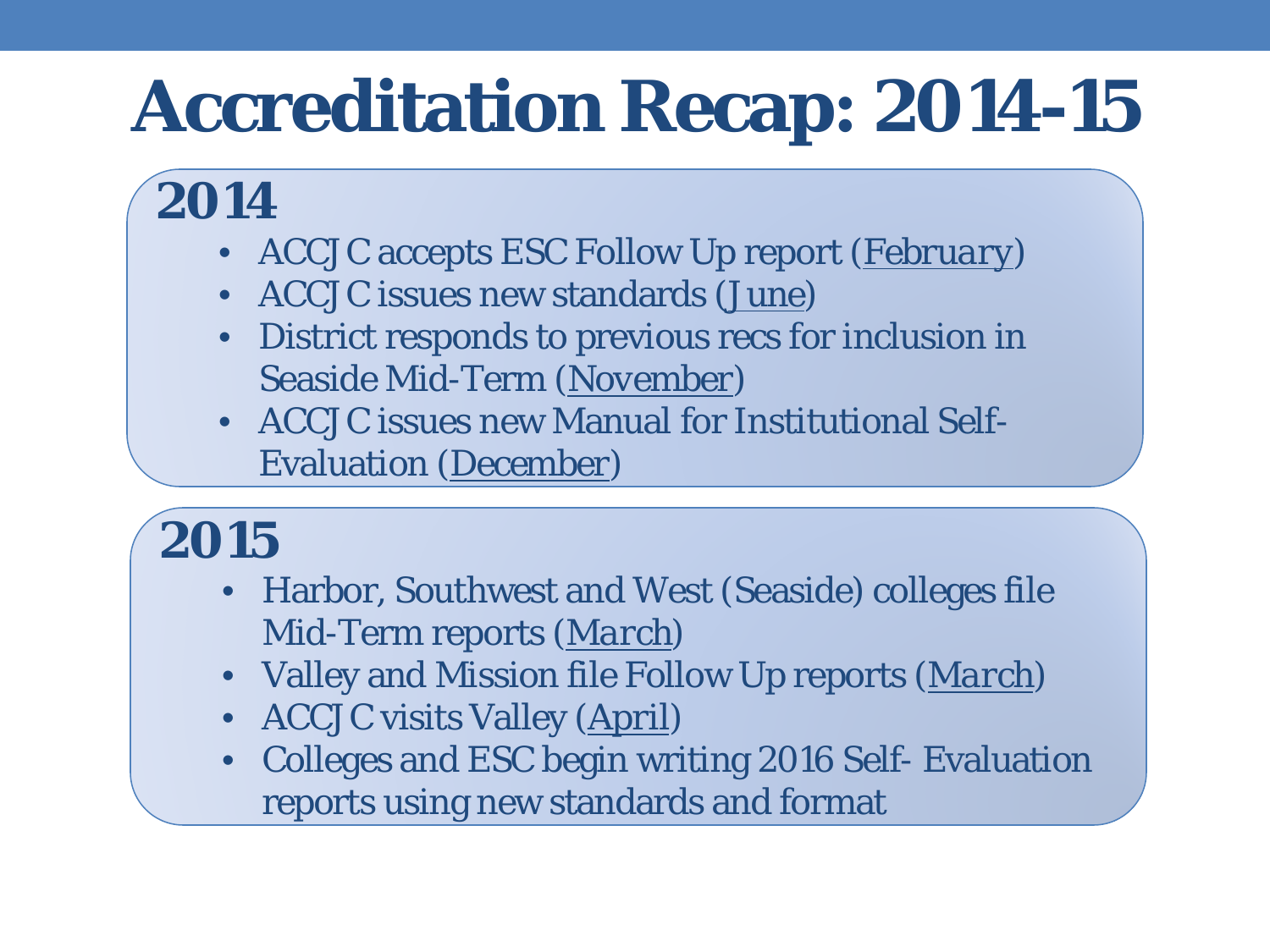## **Accreditation Recap: 2014-15**

#### **2014**

- ACCJC accepts ESC Follow Up report (*February*)
- ACCJC issues new standards (*June*)
- District responds to previous recs for inclusion in Seaside Mid-Term (*November*)
- ACCJC issues new Manual for Institutional Self-Evaluation (*December*)

#### **2015**

- Harbor, Southwest and West (Seaside) colleges file Mid-Term reports (*March*)
- Valley and Mission file Follow Up reports (*March*)
- ACCJC visits Valley (*April*)
- Colleges and ESC begin writing 2016 Self- Evaluation reports using new standards and format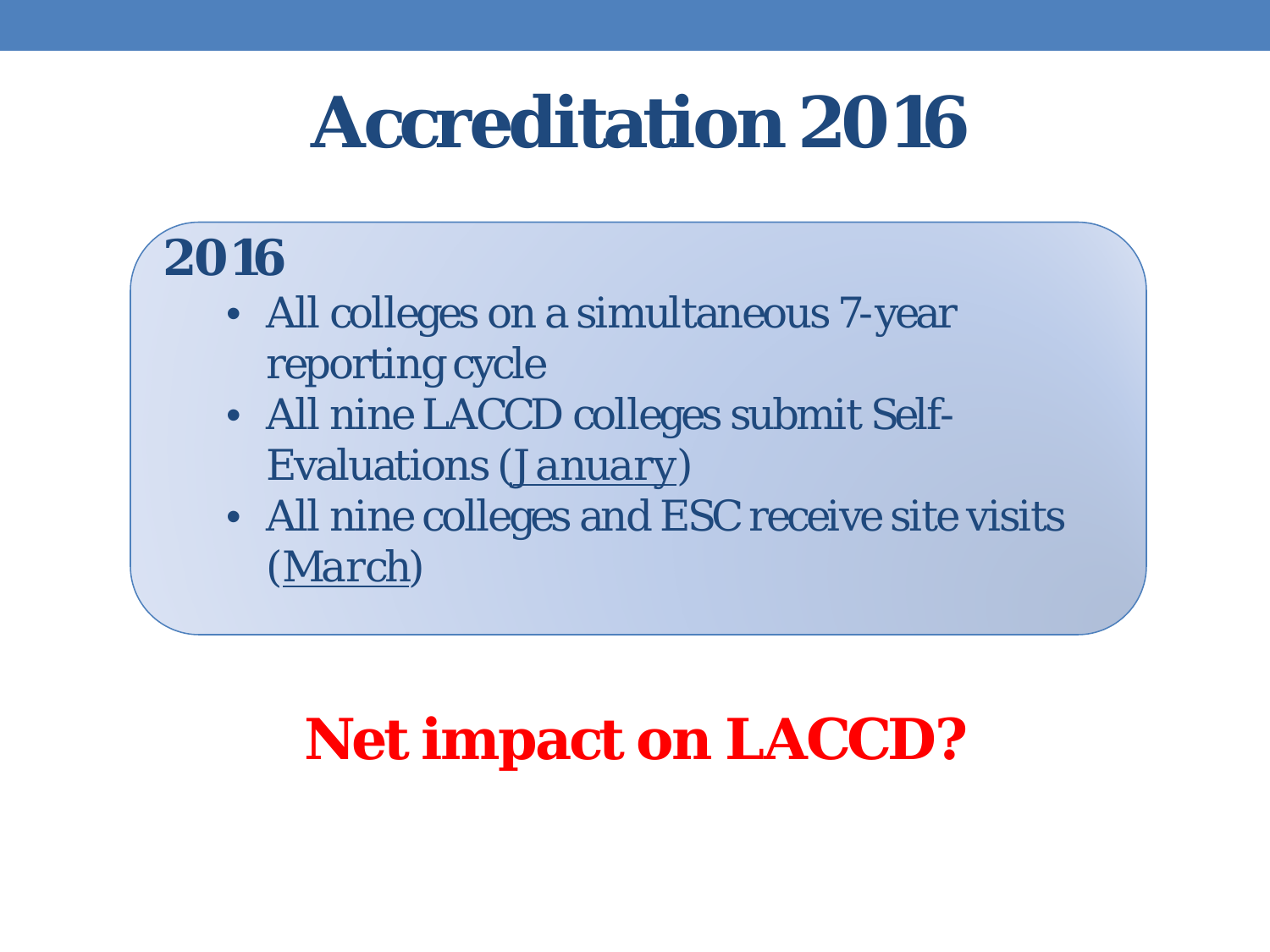## **Accreditation 2016**

#### **2016**

- All colleges on a simultaneous 7-year reporting cycle
- All nine LACCD colleges submit Self-Evaluations (*January*)
- All nine colleges and ESC receive site visits (*March*)

#### **Net impact on LACCD?**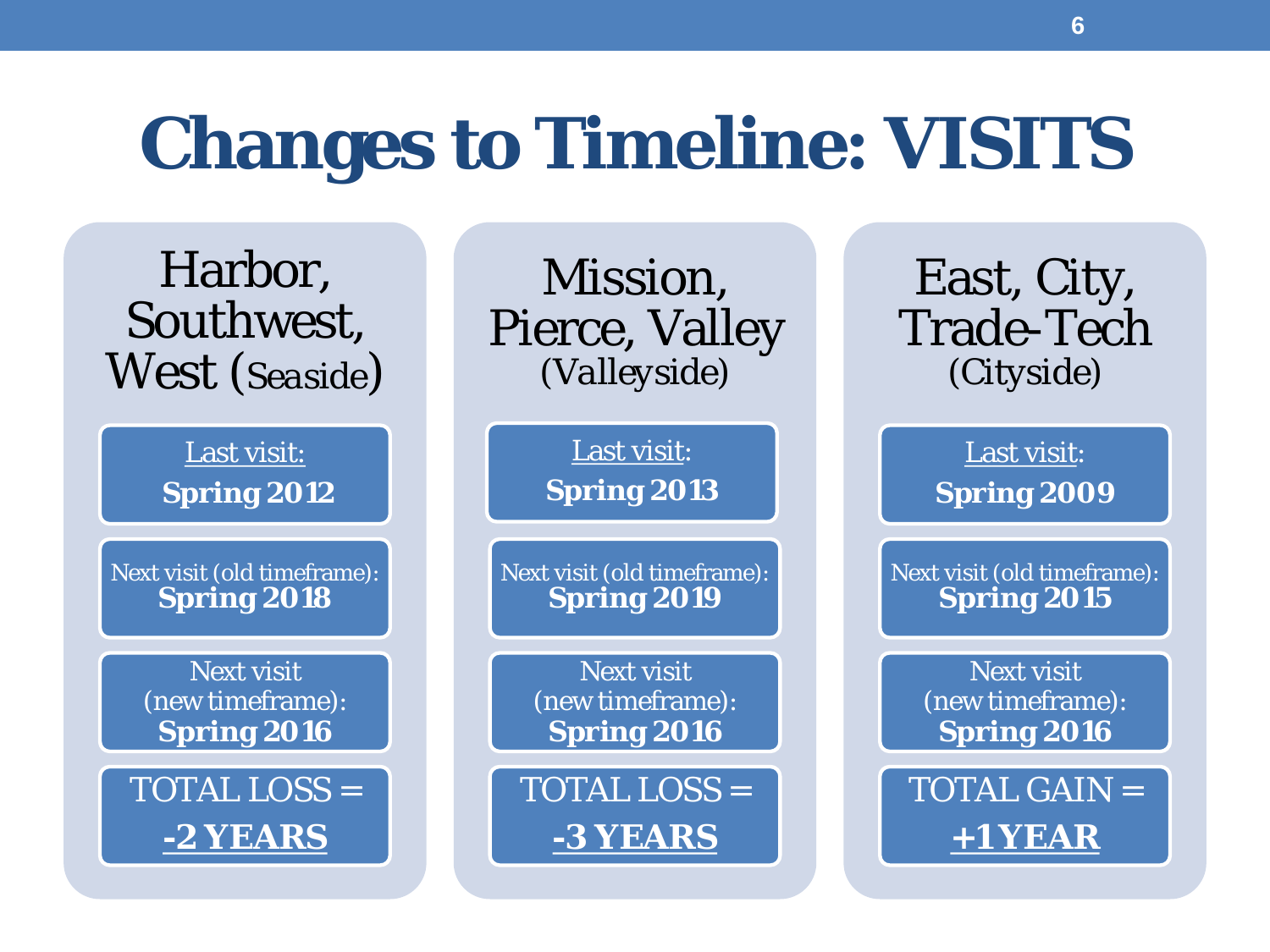## **Changes to Timeline: VISITS**

Harbor, Southwest, West (*Seaside*)

> Last visit: **Spring 2012**

Next visit (old timeframe): **Spring 2018**

> Next visit (new timeframe): **Spring 2016**

TOTAL LOSS = **-2 YEARS**

Mission, Pierce, Valley (*Valleyside*)

> Last visit: **Spring 2013**

Next visit (old timeframe): **Spring 2019**

> Next visit (new timeframe): **Spring 2016**

TOTAL LOSS = **-3 YEARS**

East, City, Trade-Tech (*Cityside*)

> Last visit: **Spring 2009**

Next visit (old timeframe): **Spring 2015**

> Next visit (new timeframe): **Spring 2016**

TOTAL GAIN = **+1 YEAR**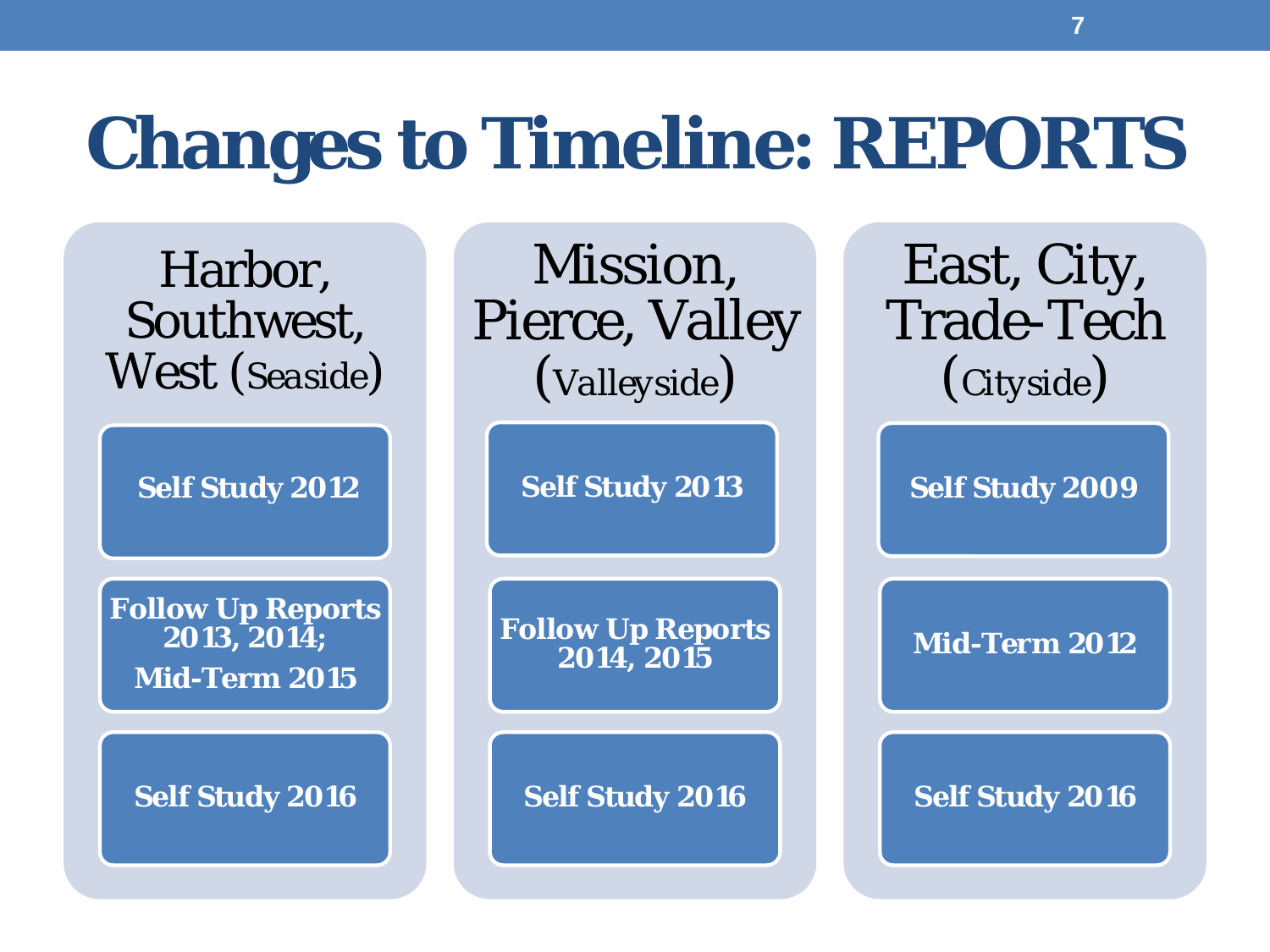## **Changes to Timeline: REPORTS**

Harbor, Southwest, West (*Seaside*)

**Self Study 2012**

**Follow Up Reports 2013, 2014; Mid-Term 2015**

**Self Study 2016**

Mission, Pierce, Valley (*Valleyside*)

**Self Study 2013**

**Follow Up Reports 2014, 2015** 

**Self Study 2016**

East, City, Trade-Tech (*Cityside*)

**Self Study 2009**

**Mid-Term 2012**

**Self Study 2016**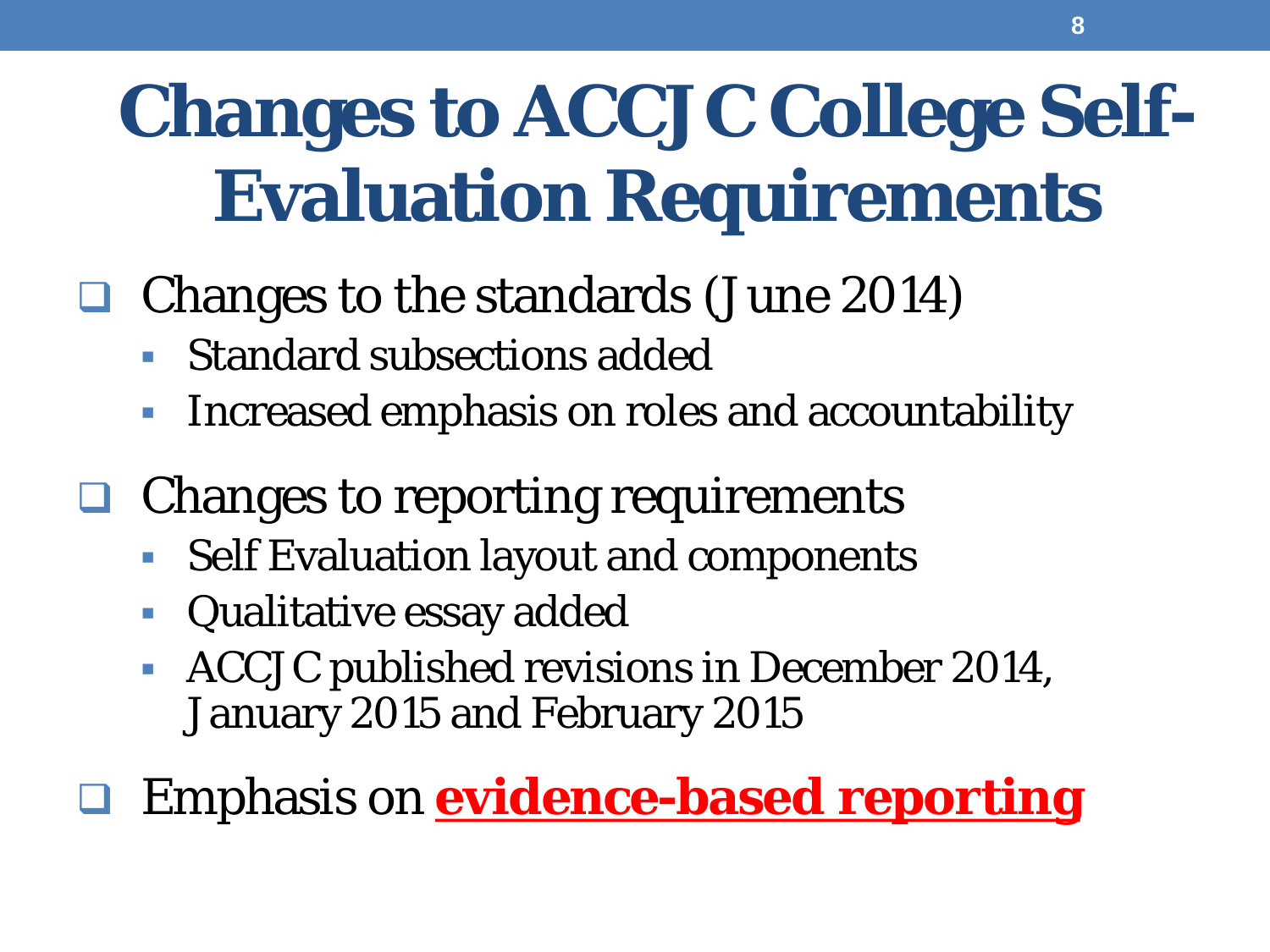# **Changes to ACCJC College Self-Evaluation Requirements**

- Changes to the standards (June 2014)
	- Standard subsections added
	- Increased emphasis on roles and accountability
- Changes to reporting requirements
	- Self Evaluation layout and components
	- **Qualitative essay added**
	- **ACCJC** published revisions in December 2014, January 2015 and February 2015
- Emphasis on **evidence-based reporting**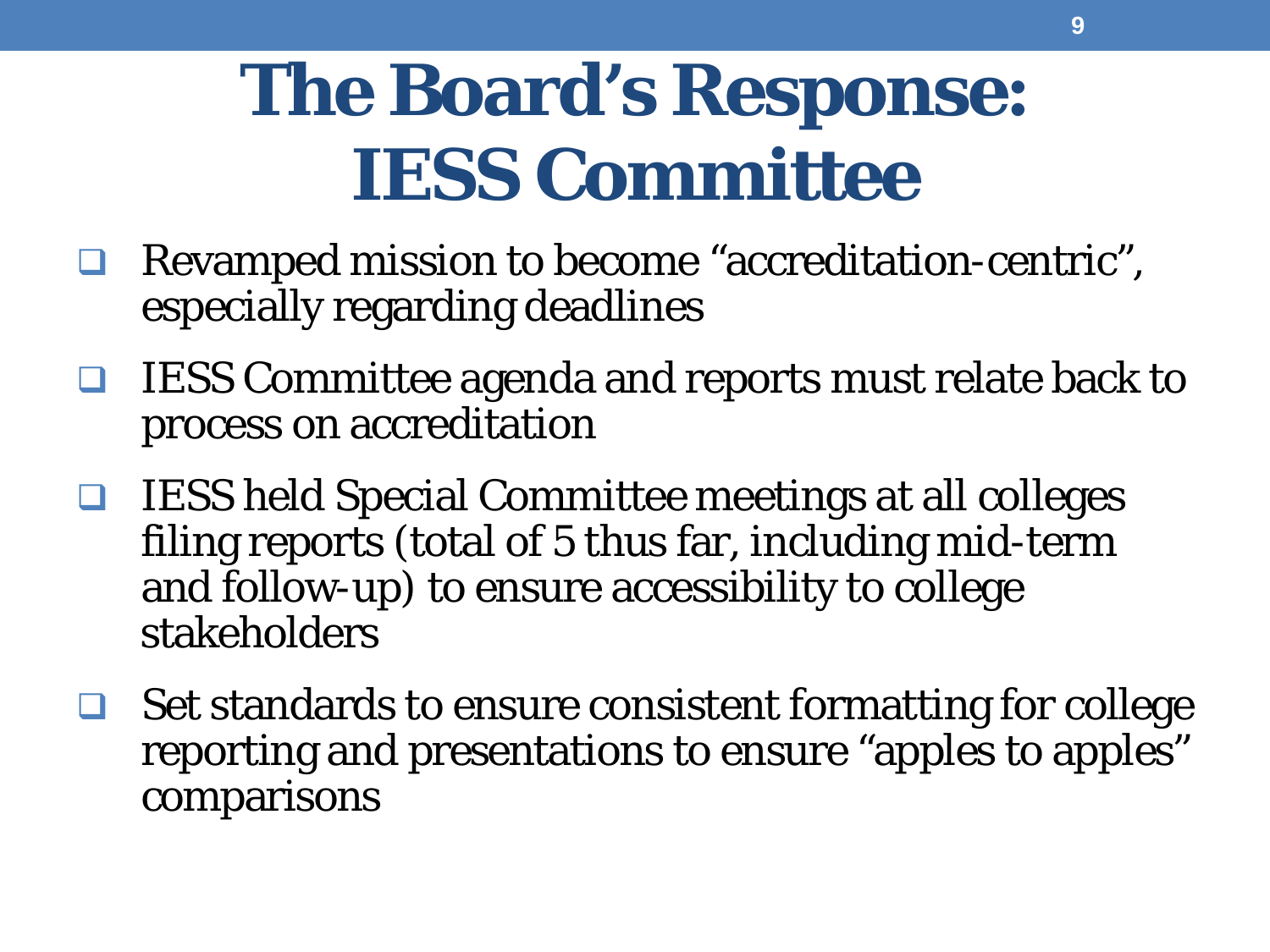## **The Board's Response: IESS Committee**

- Revamped mission to become "accreditation-centric", especially regarding deadlines
- $\Box$  IESS Committee agenda and reports must relate back to process on accreditation
- $\Box$  IESS held Special Committee meetings at all colleges filing reports (total of 5 thus far, including mid-term and follow-up) to ensure accessibility to college stakeholders
- $\Box$  Set standards to ensure consistent formatting for college reporting and presentations to ensure "apples to apples" comparisons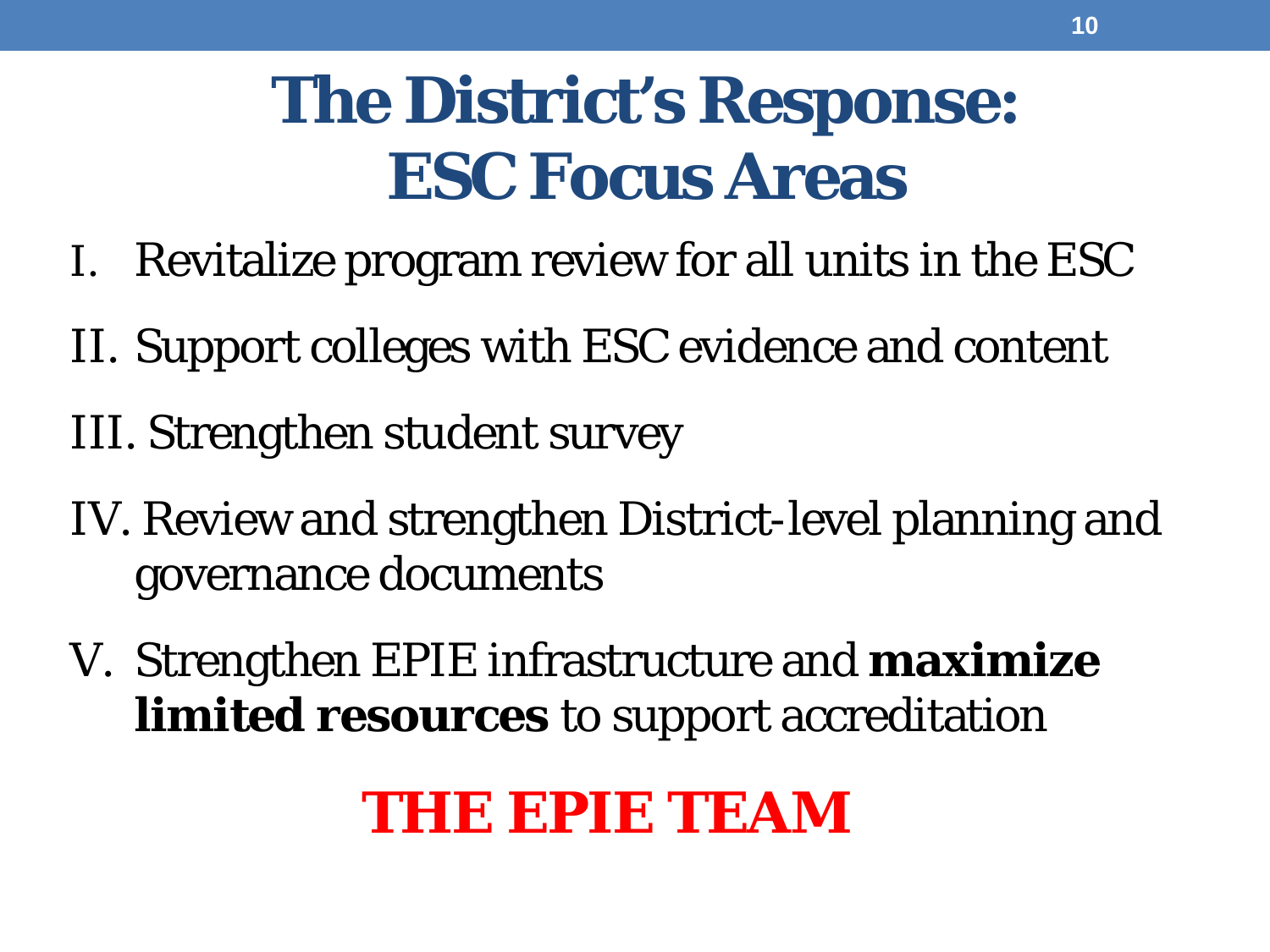## **The District's Response: ESC Focus Areas**

- I. Revitalize program review for all units in the ESC
- II. Support colleges with ESC evidence and content
- III. Strengthen student survey
- IV. Review and strengthen District-level planning and governance documents
- V. Strengthen EPIE infrastructure and **maximize limited resources** to support accreditation

#### **THE EPIE TEAM**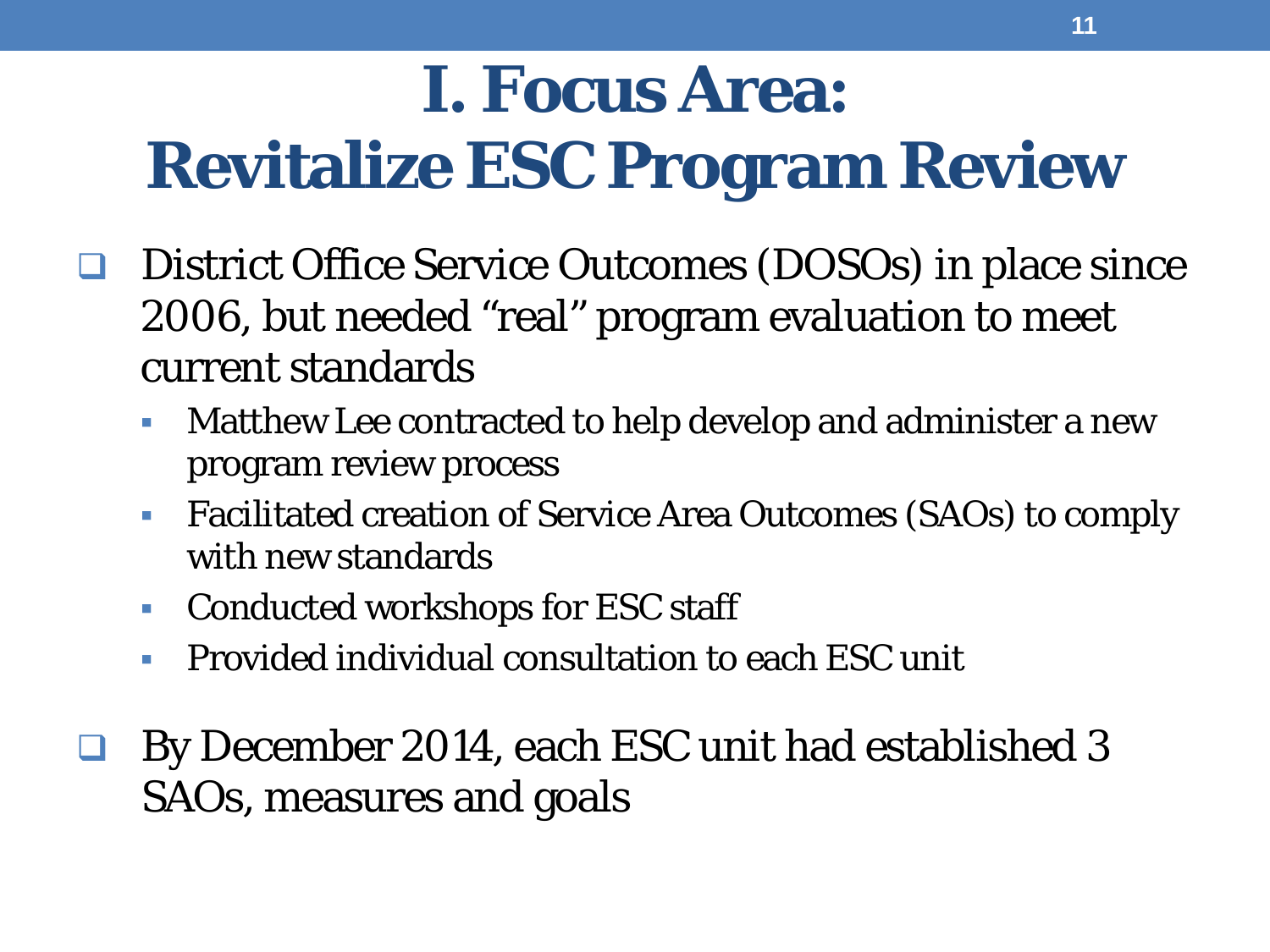## **I. Focus Area: Revitalize ESC Program Review**

- District Office Service Outcomes (DOSOs) in place since 2006, but needed "real" program evaluation to meet current standards
	- Matthew Lee contracted to help develop and administer a new program review process
	- Facilitated creation of Service Area Outcomes (SAOs) to comply with new standards
	- Conducted workshops for ESC staff
	- **Provided individual consultation to each ESC unit**
- By December 2014, each ESC unit had established 3 SAOs, measures and goals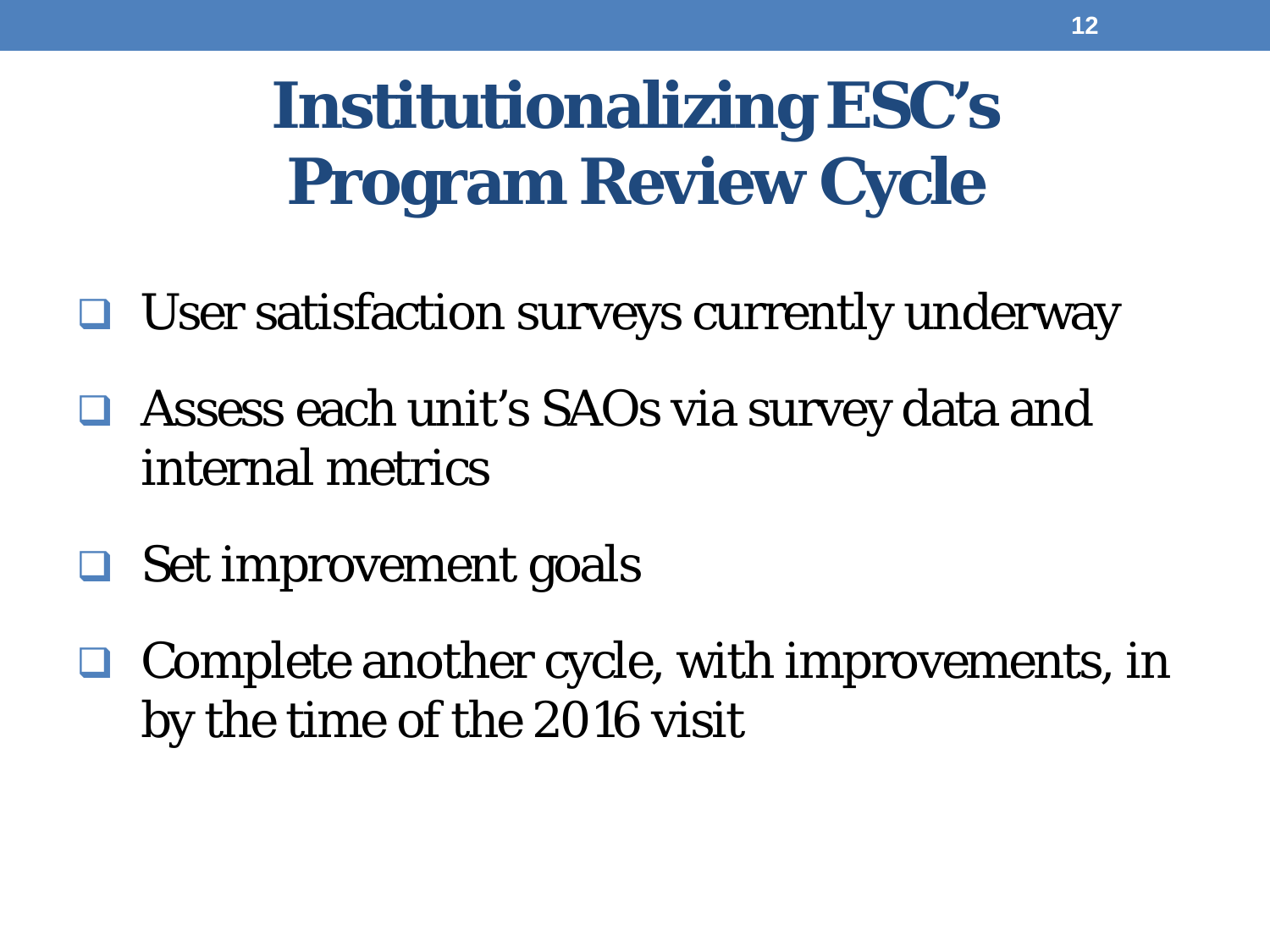## **Institutionalizing ESC's Program Review Cycle**

- $\Box$  User satisfaction surveys currently underway
- Assess each unit's SAOs via survey data and internal metrics
- **□** Set improvement goals
- Complete another cycle, with improvements, in by the time of the 2016 visit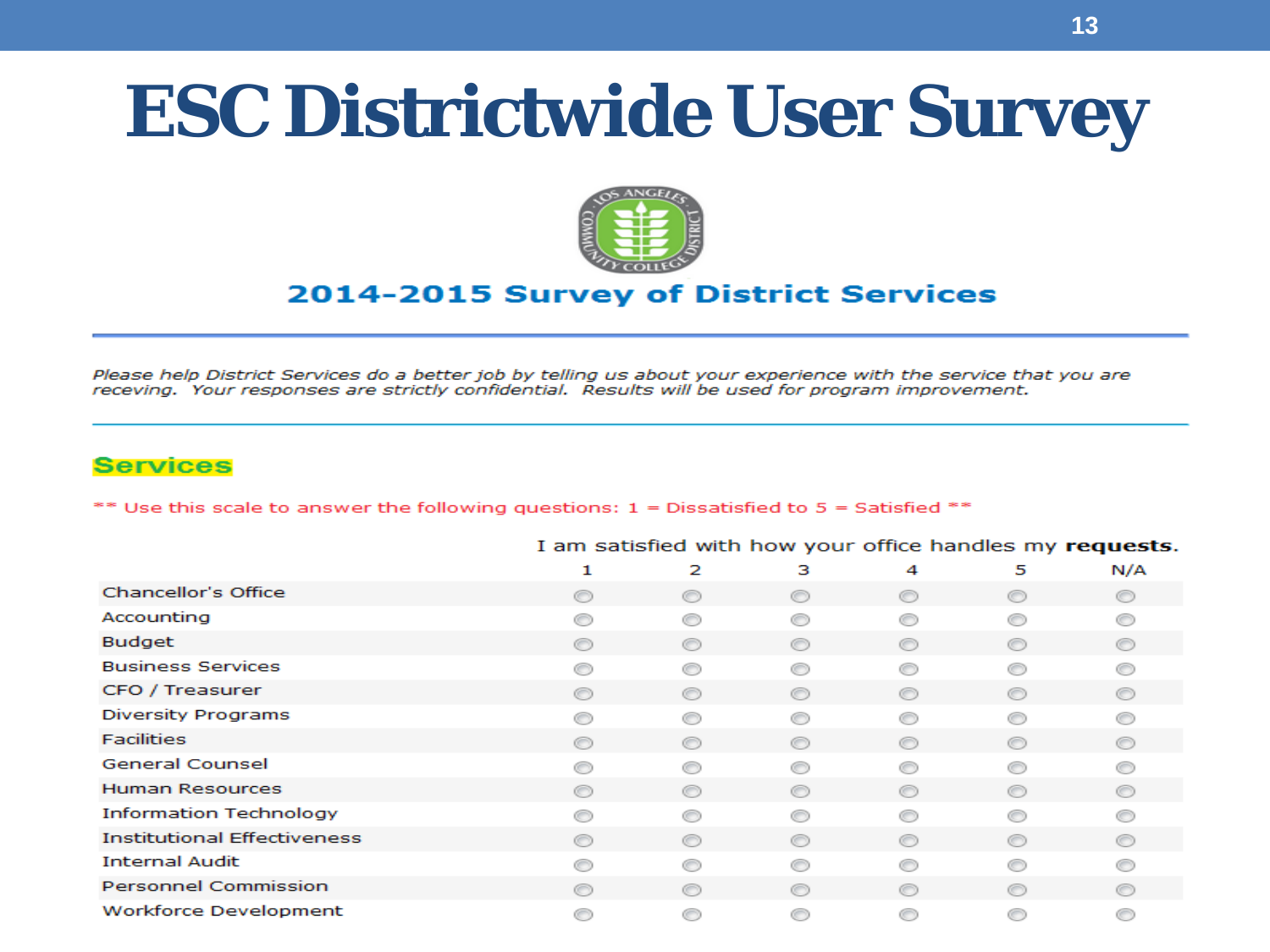## **ESC Districtwide User Survey**



#### 2014-2015 Survey of District Services

Please help District Services do a better job by telling us about your experience with the service that you are receving. Your responses are strictly confidential. Results will be used for program improvement.

#### **Services**

\*\* Use this scale to answer the following questions:  $1 =$  Dissatisfied to  $5 =$  Satisfied \*\*

|                                    |                |                |                |                |                | . .<br>. .     |
|------------------------------------|----------------|----------------|----------------|----------------|----------------|----------------|
|                                    | 1              | 2              | з              | 4              | 5              | N/A            |
| Chancellor's Office                | ⋒              | ◉              | ◉              | $\circledcirc$ | ∩              | ◉              |
| Accounting                         |                |                |                |                |                |                |
| <b>Budget</b>                      | $\circledcirc$ | $\circledcirc$ | ⊙              | ◉              | ◉              | $\circledcirc$ |
| <b>Business Services</b>           |                | ∩              | 66             |                |                |                |
| CFO / Treasurer                    | $\circledcirc$ | ◉              | ⊙              | ⊙              | $\circ$        | $\circledcirc$ |
| Diversity Programs                 |                | ⋒              | ⋒              |                |                |                |
| <b>Facilities</b>                  | O              | ⊙              | ⊙              | ⋒              | ⋒              | $\circledcirc$ |
| <b>General Counsel</b>             |                | ⋒              | ⋒              |                |                |                |
| <b>Human Resources</b>             |                | $\circledcirc$ | $\circledcirc$ | ∩              | $\circledcirc$ | $\circledcirc$ |
| <b>Information Technology</b>      |                | 6              | ⋒              |                |                |                |
| <b>Institutional Effectiveness</b> |                | ⊙              | ∩              | ∩              | $\circledcirc$ | $\circledcirc$ |
| <b>Internal Audit</b>              |                | ⋒              | ⋒              |                |                |                |
| <b>Personnel Commission</b>        |                | $\circ$        | O              | ⋒              | $\circledcirc$ | ⋒              |
| <b>Workforce Development</b>       |                | G              | ⊜              | ⋒              |                |                |

I am satisfied with how your office handles my requests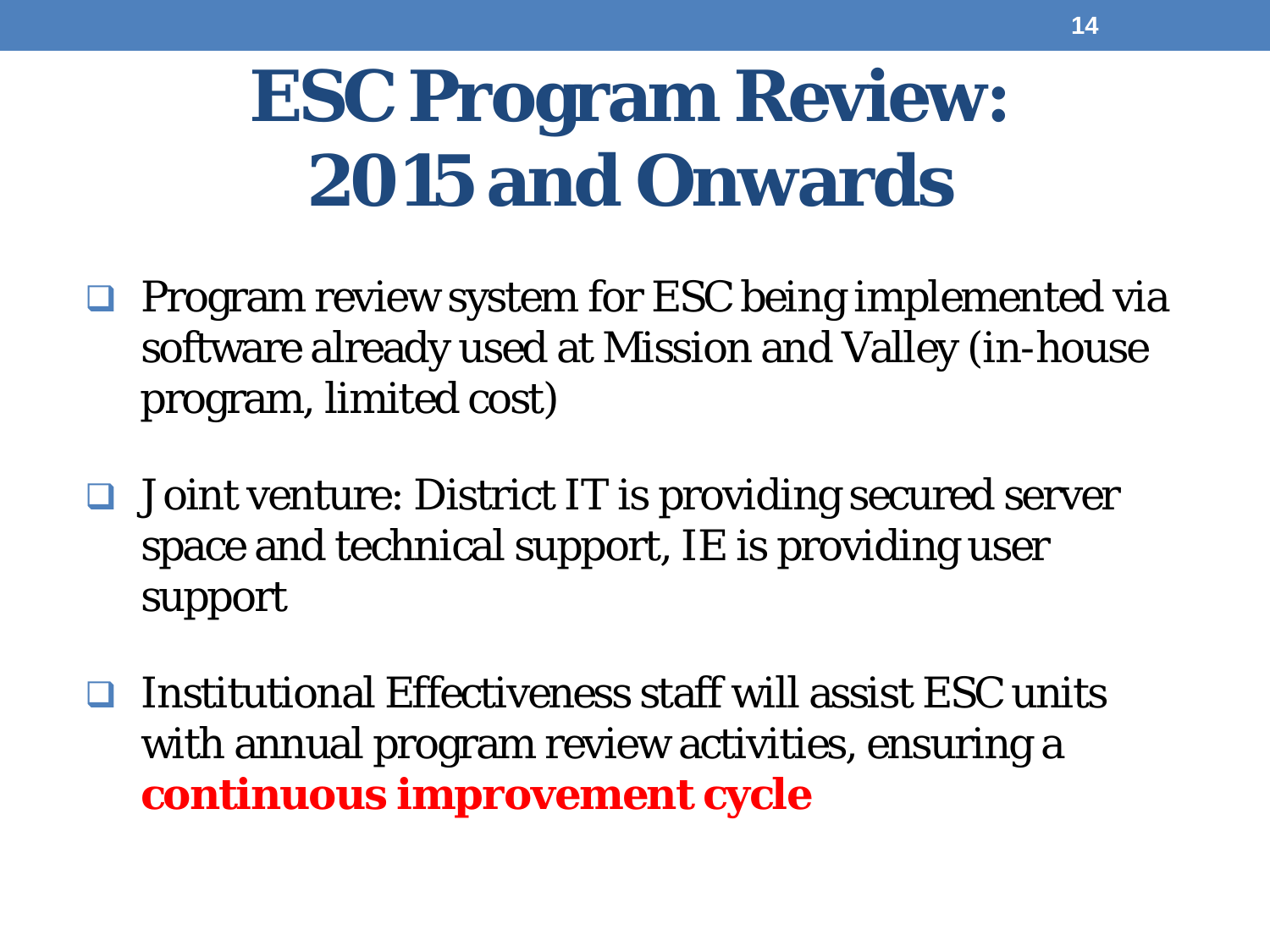## **ESC Program Review: 2015 and Onwards**

- $\Box$  Program review system for ESC being implemented via software already used at Mission and Valley (in-house program, limited cost)
- Joint venture: District IT is providing secured server space and technical support, IE is providing user support
- $\Box$  Institutional Effectiveness staff will assist ESC units with annual program review activities, ensuring a **continuous improvement cycle**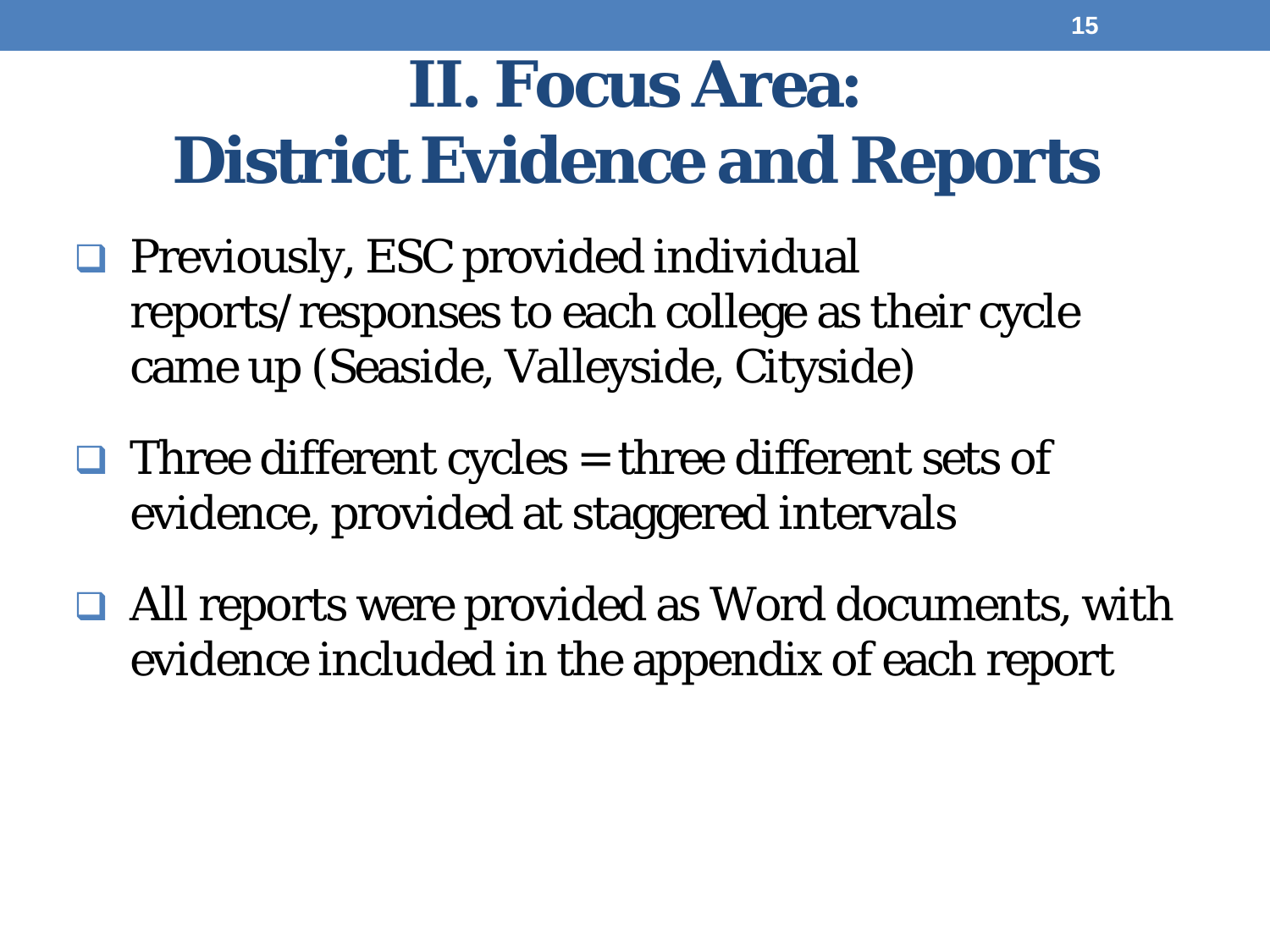## **II. Focus Area: District Evidence and Reports**

- **Q** Previously, ESC provided individual reports/responses to each college as their cycle came up (Seaside, Valleyside, Cityside)
- $\Box$  Three different cycles = three different sets of evidence, provided at staggered intervals
- **□ All reports were provided as Word documents, with** evidence included in the appendix of each report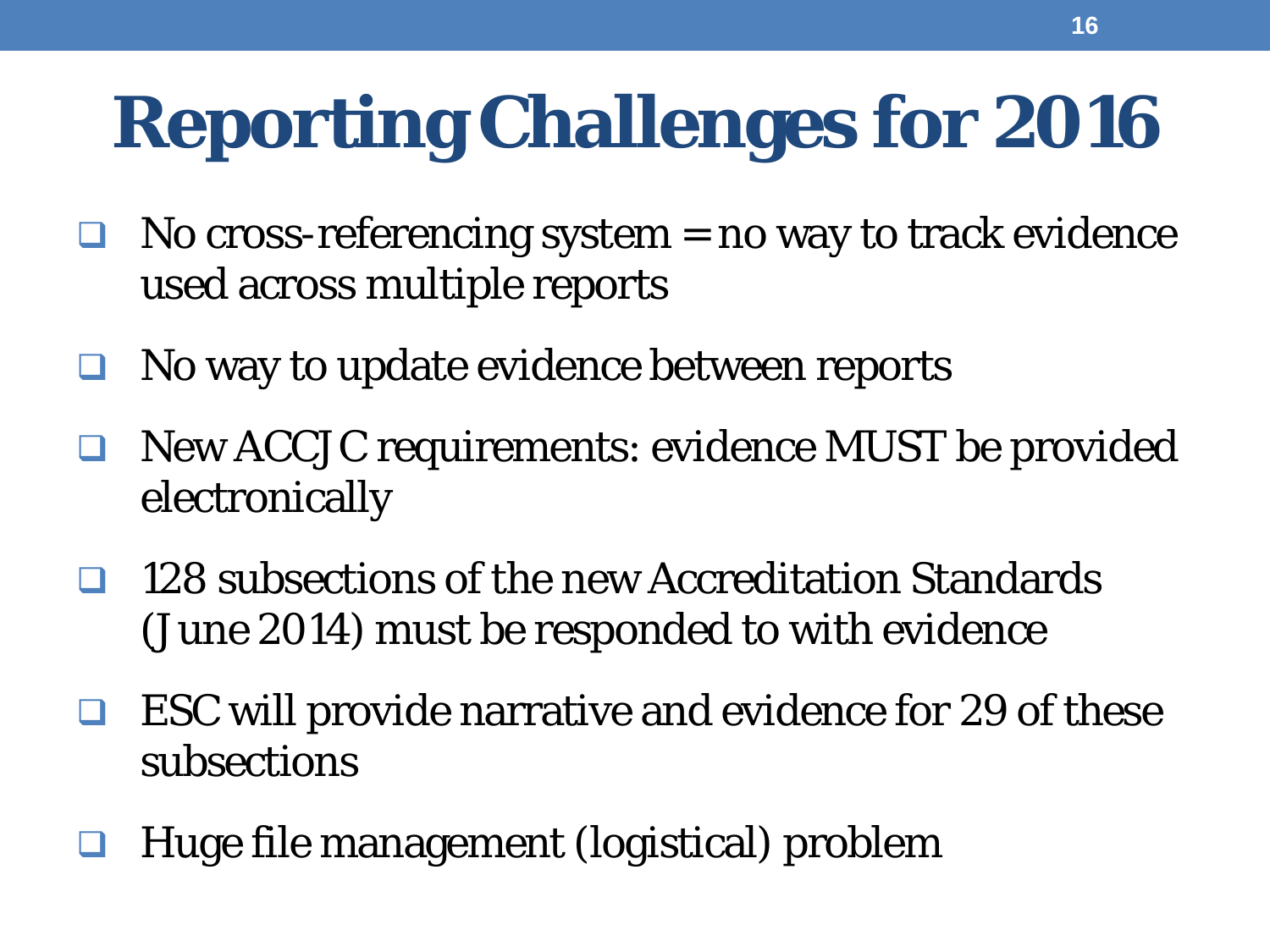# **Reporting Challenges for 2016**

- No cross-referencing system  $=$  no way to track evidence used across multiple reports
- No way to update evidence between reports
- New ACCJC requirements: evidence MUST be provided electronically
- 128 subsections of the new Accreditation Standards (June 2014) must be responded to with evidence
- ESC will provide narrative and evidence for 29 of these subsections
- Huge file management (logistical) problem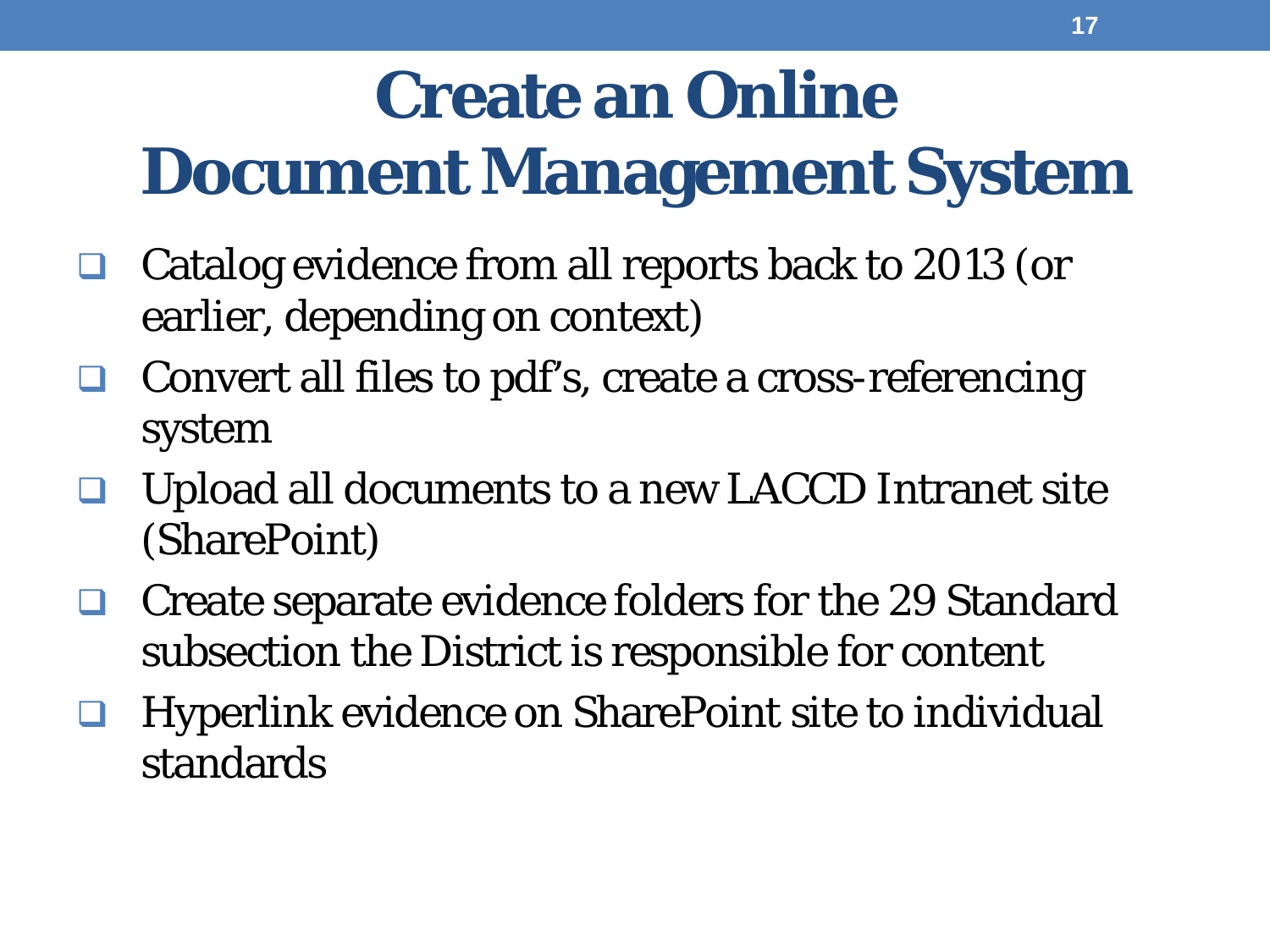## **Create an Online**

## **Document Management System**

- Catalog evidence from all reports back to 2013 (or earlier, depending on context)
- Convert all files to pdf's, create a cross-referencing system
- Upload all documents to a new LACCD Intranet site (SharePoint)
- Create separate evidence folders for the 29 Standard subsection the District is responsible for content
- Hyperlink evidence on SharePoint site to individual standards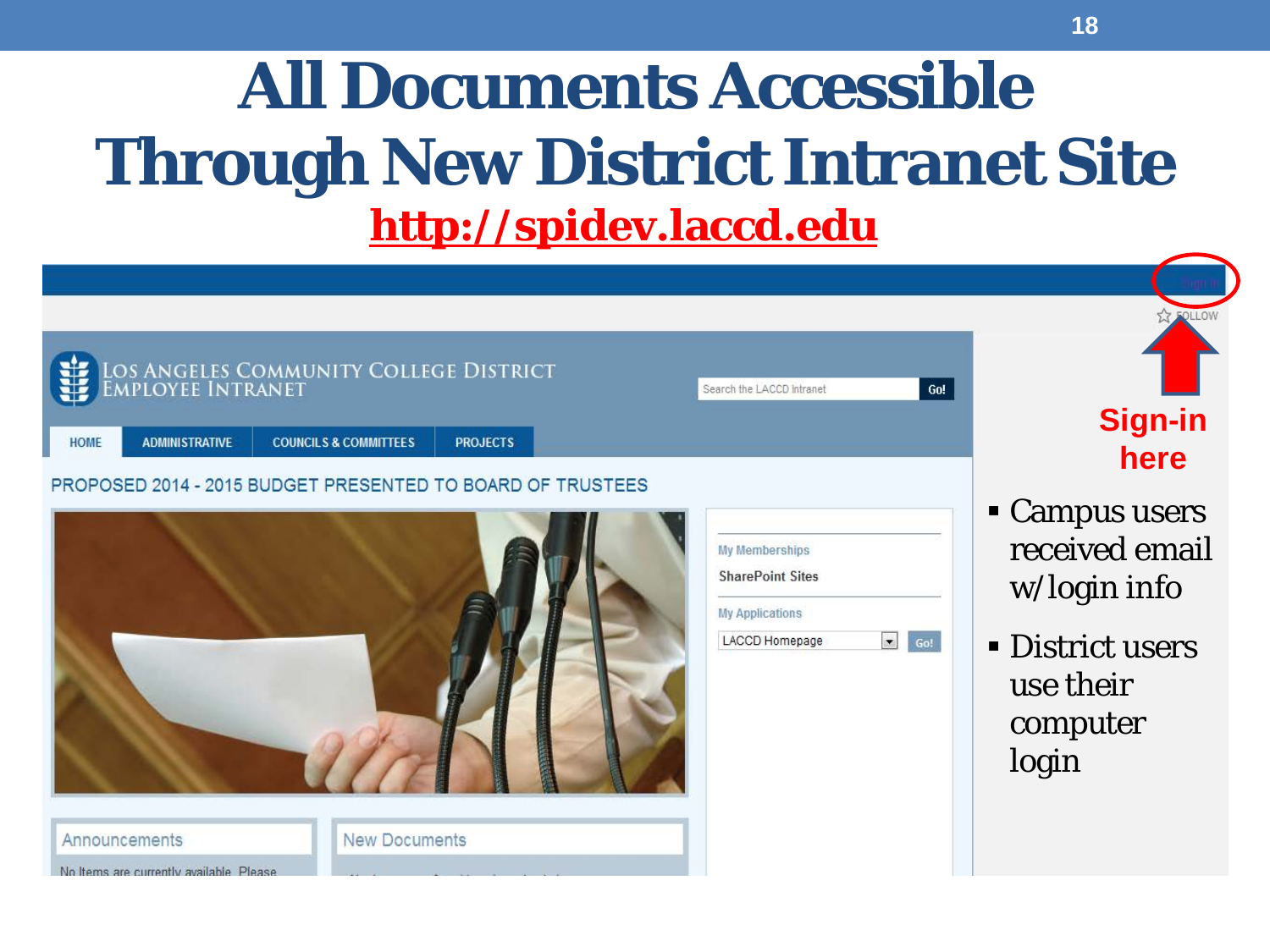#### **All Documents Accessible Through New District Intranet Site http://spidev.laccd.edu**

| W<br><b>ADMINISTRATIVE</b><br><b>HOME</b>                 | LOS ANGELES COMMUNITY COLLEGE DISTRICT<br><b>COUNCILS &amp; COMMITTEES</b><br><b>PROJECTS</b> | Search the LACCD Intranet                                                                    | <b>FOLLOW</b><br>Go!<br><b>Sign-in</b><br>here                                                                                 |
|-----------------------------------------------------------|-----------------------------------------------------------------------------------------------|----------------------------------------------------------------------------------------------|--------------------------------------------------------------------------------------------------------------------------------|
| Announcements<br>No Items are currently available. Please | PROPOSED 2014 - 2015 BUDGET PRESENTED TO BOARD OF TRUSTEES<br><b>New Documents</b>            | <b>My Memberships</b><br><b>SharePoint Sites</b><br><b>My Applications</b><br>LACCD Homepage | • Campus users<br>received email<br>w/login info<br>$\bullet$ Go!<br><b>- District users</b><br>use their<br>computer<br>login |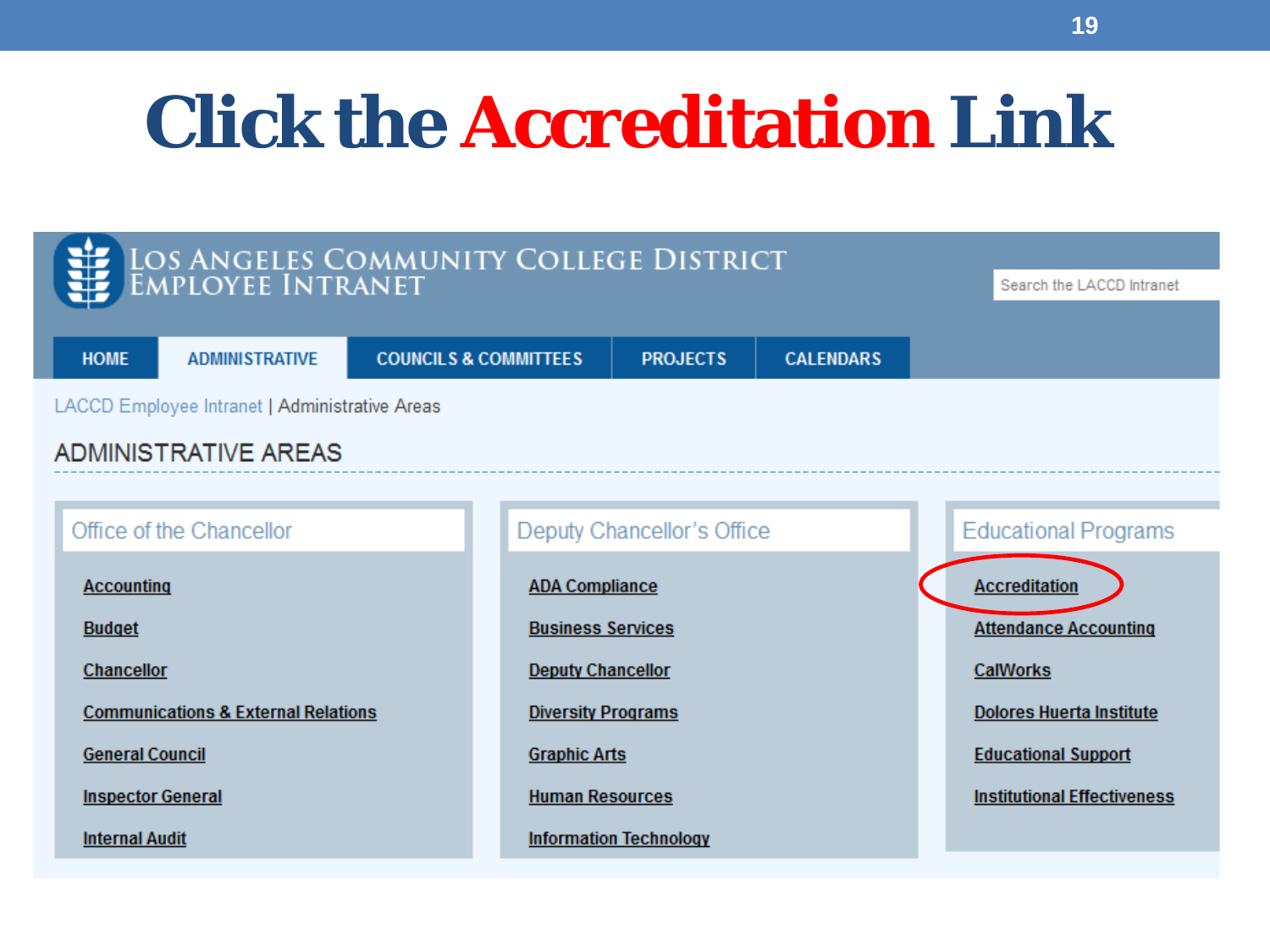## **Click the Accreditation Link**

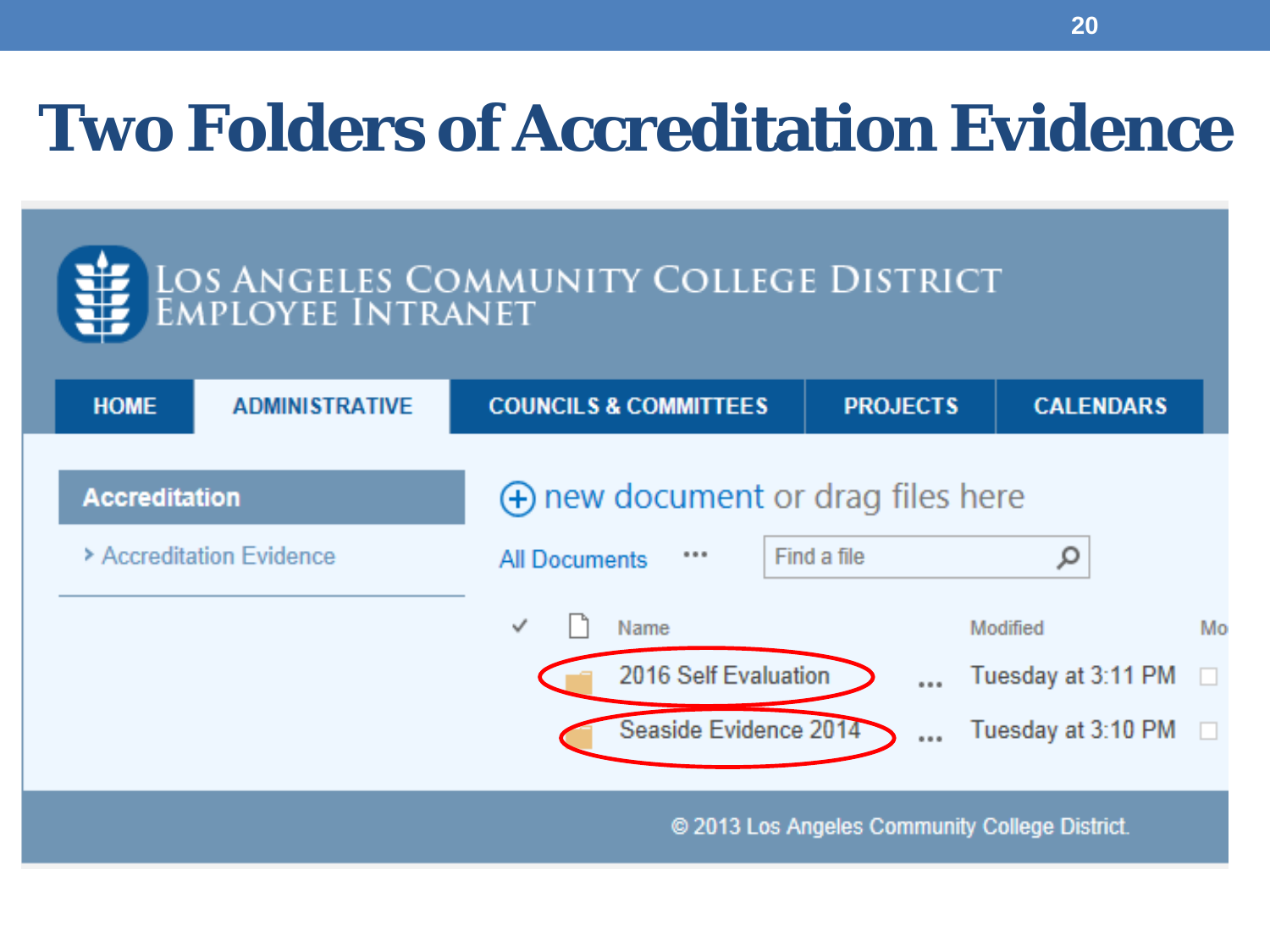## **Two Folders of Accreditation Evidence**

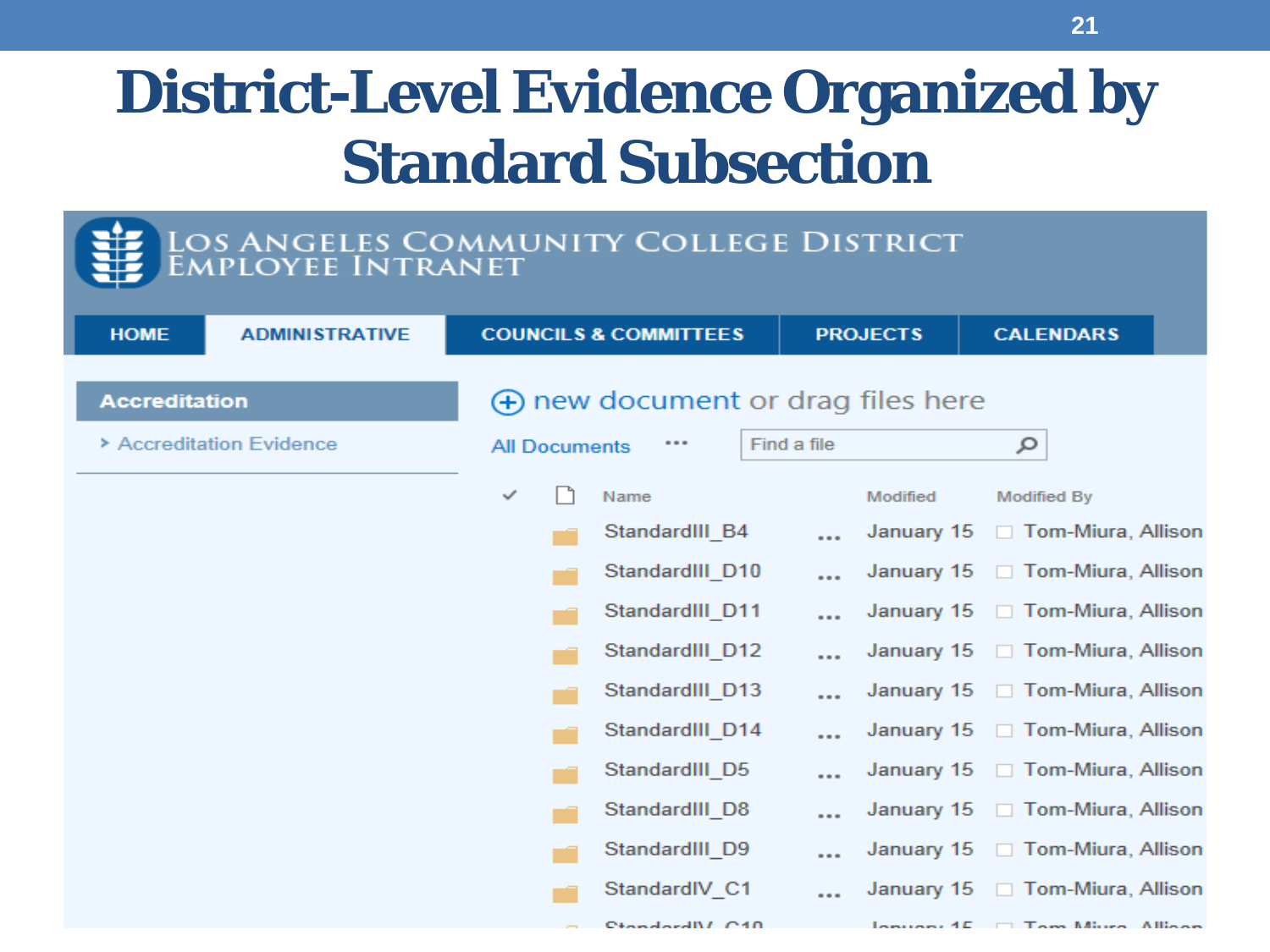#### **District-Level Evidence Organized by Standard Subsection**

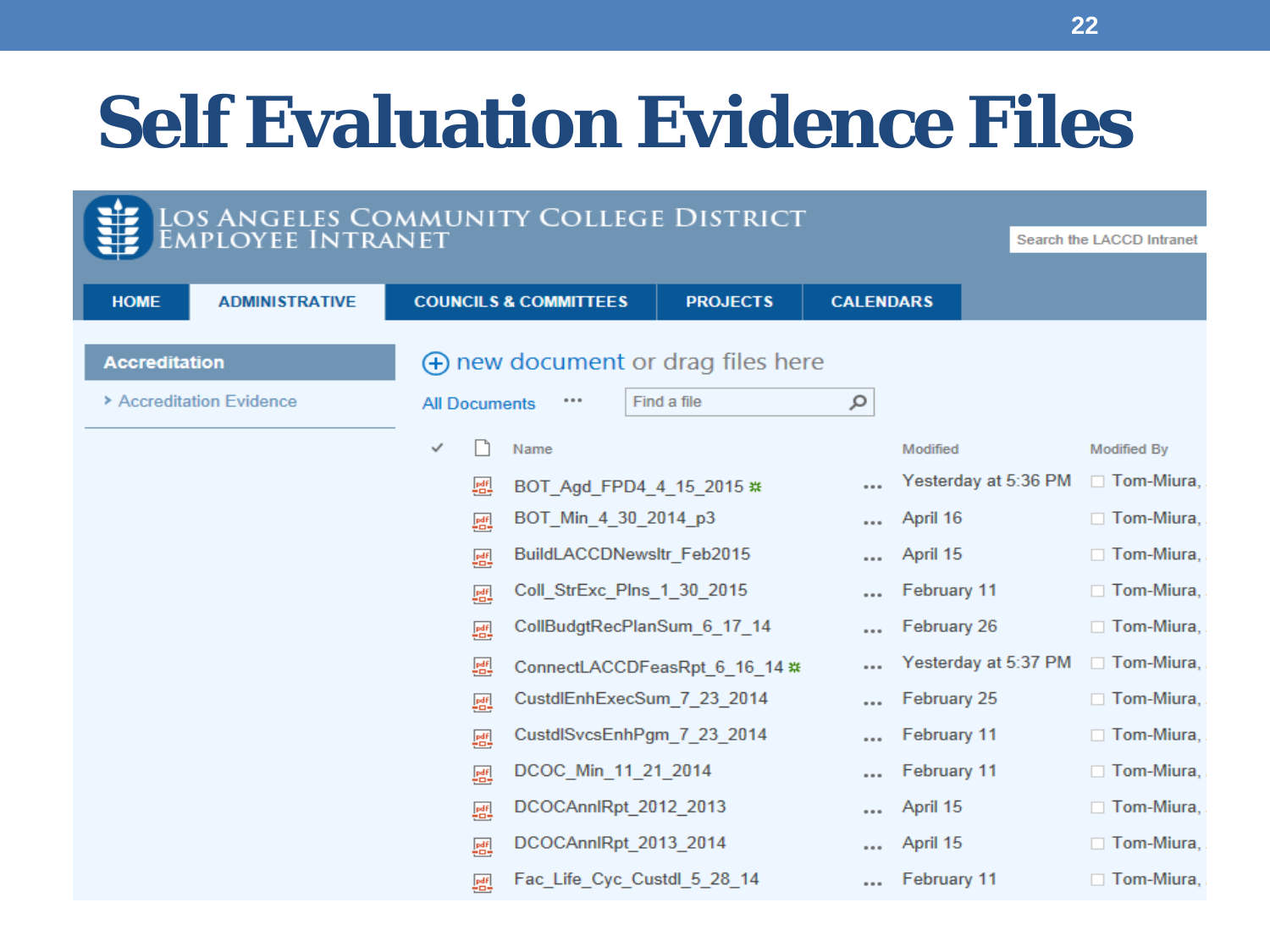## **Self Evaluation Evidence Files**

| LOS ANGELES COMMUNITY COLLEGE DISTRICT<br>EMPLOYEE INTRANET |                      |                                  |                                                            |                  |                      |                           |
|-------------------------------------------------------------|----------------------|----------------------------------|------------------------------------------------------------|------------------|----------------------|---------------------------|
|                                                             |                      |                                  |                                                            |                  |                      | Search the LACCD Intranet |
| <b>HOME</b><br><b>ADMINISTRATIVE</b>                        |                      | <b>COUNCILS &amp; COMMITTEES</b> | <b>PROJECTS</b>                                            | <b>CALENDARS</b> |                      |                           |
| <b>Accreditation</b>                                        |                      |                                  | $\left(\frac{1}{2}\right)$ new document or drag files here |                  |                      |                           |
| > Accreditation Evidence                                    | <b>All Documents</b> |                                  | Find a file                                                | ٩                |                      |                           |
|                                                             | ✓                    | Name                             |                                                            |                  | Modified             | <b>Modified By</b>        |
|                                                             | 匷                    |                                  | BOT Agd FPD4 4 15 2015 **                                  |                  | Yesterday at 5:36 PM | $\Box$ Tom-Miura,         |
|                                                             | 醞                    | BOT_Min_4_30_2014_p3             |                                                            | 0.0.0            | April 16             | $\Box$ Tom-Miura,         |
|                                                             | 爴                    |                                  | BuildLACCDNewsltr_Feb2015                                  |                  | April 15             | $\Box$ Tom-Miura,         |
|                                                             | 國                    |                                  | Coll_StrExc_Plns_1_30_2015                                 |                  | February 11          | $\Box$ Tom-Miura,         |
|                                                             | 匷                    |                                  | CollBudgtRecPlanSum 6 17 14                                |                  | February 26          | $\Box$ Tom-Miura,         |
|                                                             | 匷                    |                                  | ConnectLACCDFeasRpt_6_16_14 **                             |                  | Yesterday at 5:37 PM | $\Box$ Tom-Miura,         |
|                                                             | 匷                    |                                  | CustdlEnhExecSum_7_23_2014                                 | 0.0.0            | February 25          | $\Box$ Tom-Miura,         |
|                                                             | 匷                    |                                  | CustdlSvcsEnhPgm_7_23_2014                                 |                  | February 11          | $\Box$ Tom-Miura,         |
|                                                             | 爴                    | DCOC_Min_11_21_2014              |                                                            |                  | February 11          | $\Box$ Tom-Miura,         |
|                                                             | 匷                    | DCOCAnnlRpt 2012 2013            |                                                            | 0.0.0            | April 15             | $\Box$ Tom-Miura,         |
|                                                             | 匷                    | DCOCAnnlRpt_2013_2014            |                                                            | 0.0.0            | April 15             | $\Box$ Tom-Miura,         |
|                                                             | 匷                    |                                  | Fac Life Cyc Custdl 5 28 14                                |                  | February 11          | $\Box$ Tom-Miura,         |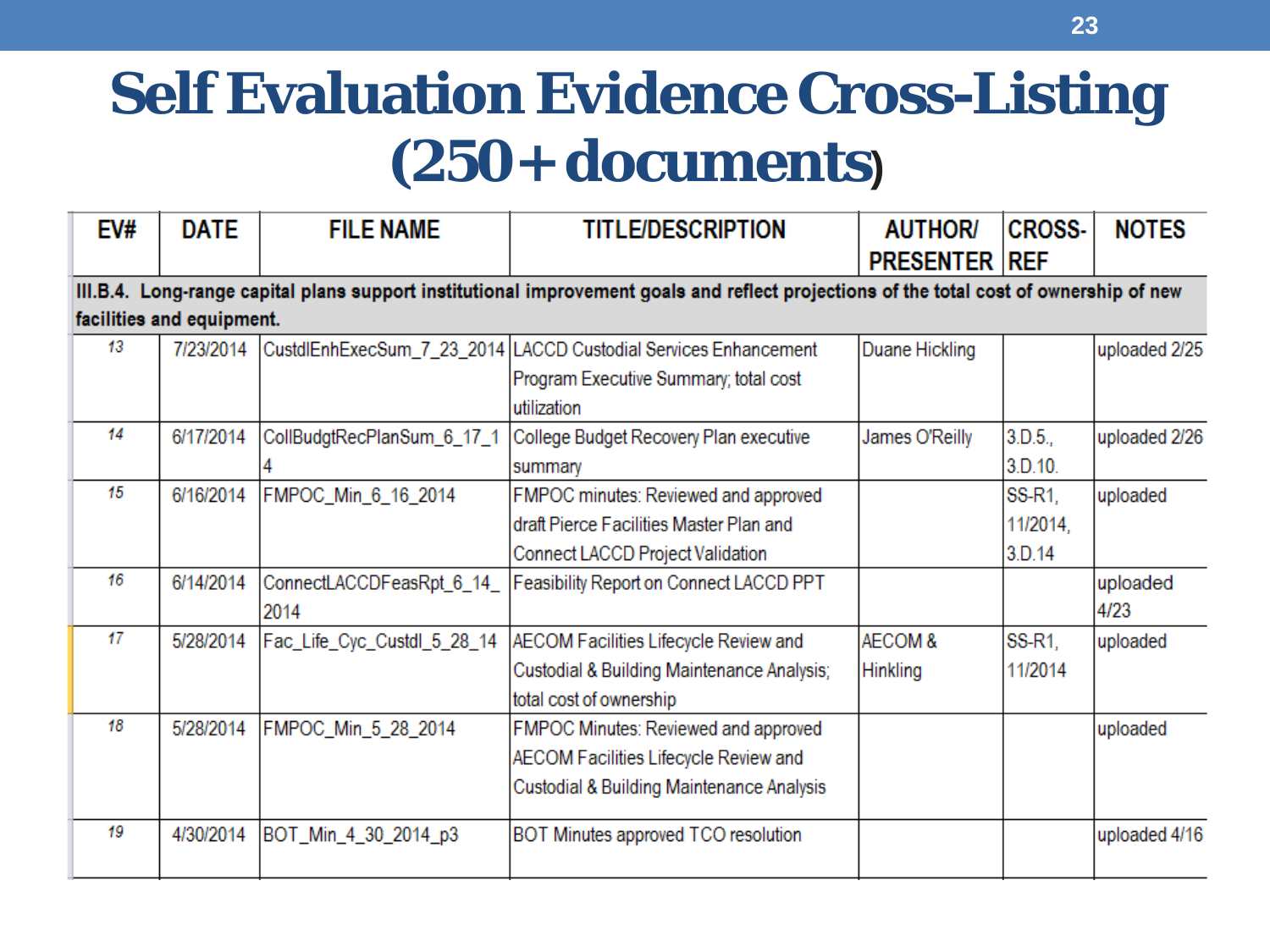#### **Self Evaluation Evidence Cross-Listing (250+ documents)**

| EV# | <b>DATE</b>               | <b>FILE NAME</b>                 | <b>TITLE/DESCRIPTION</b>                                                                                                                | <b>AUTHOR</b><br><b>PRESENTER REF</b> | <b>CROSS-</b>                | <b>NOTES</b>     |
|-----|---------------------------|----------------------------------|-----------------------------------------------------------------------------------------------------------------------------------------|---------------------------------------|------------------------------|------------------|
|     | facilities and equipment. |                                  | III.B.4. Long-range capital plans support institutional improvement goals and reflect projections of the total cost of ownership of new |                                       |                              |                  |
| 13  | 7/23/2014                 |                                  | CustdlEnhExecSum_7_23_2014   LACCD Custodial Services Enhancement<br>Program Executive Summary; total cost<br>utilization               | Duane Hickling                        |                              | uploaded 2/25    |
| 14  | 6/17/2014                 | CollBudgtRecPlanSum_6_17_1       | College Budget Recovery Plan executive<br>summary                                                                                       | James O'Reilly                        | 3.D.5.<br>3.D.10.            | uploaded 2/26    |
| 15  | 6/16/2014                 | FMPOC_Min_6_16_2014              | FMPOC minutes: Reviewed and approved<br>draft Pierce Facilities Master Plan and<br>Connect LACCD Project Validation                     |                                       | SS-R1,<br>11/2014,<br>3.D.14 | uploaded         |
| 16  | 6/14/2014                 | ConnectLACCDFeasRpt 6_14<br>2014 | Feasibility Report on Connect LACCD PPT                                                                                                 |                                       |                              | uploaded<br>4/23 |
| 17  | 5/28/2014                 | Fac_Life_Cyc_Custdl_5_28_14      | AECOM Facilities Lifecycle Review and<br>Custodial & Building Maintenance Analysis;<br>total cost of ownership                          | AECOM&<br>Hinkling                    | SS-R1,<br>11/2014            | uploaded         |
| 18  | 5/28/2014                 | FMPOC_Min_5_28_2014              | FMPOC Minutes: Reviewed and approved<br>AECOM Facilities Lifecycle Review and<br>Custodial & Building Maintenance Analysis              |                                       |                              | uploaded         |
| 19  | 4/30/2014                 | BOT_Min_4_30_2014_p3             | BOT Minutes approved TCO resolution                                                                                                     |                                       |                              | uploaded 4/16    |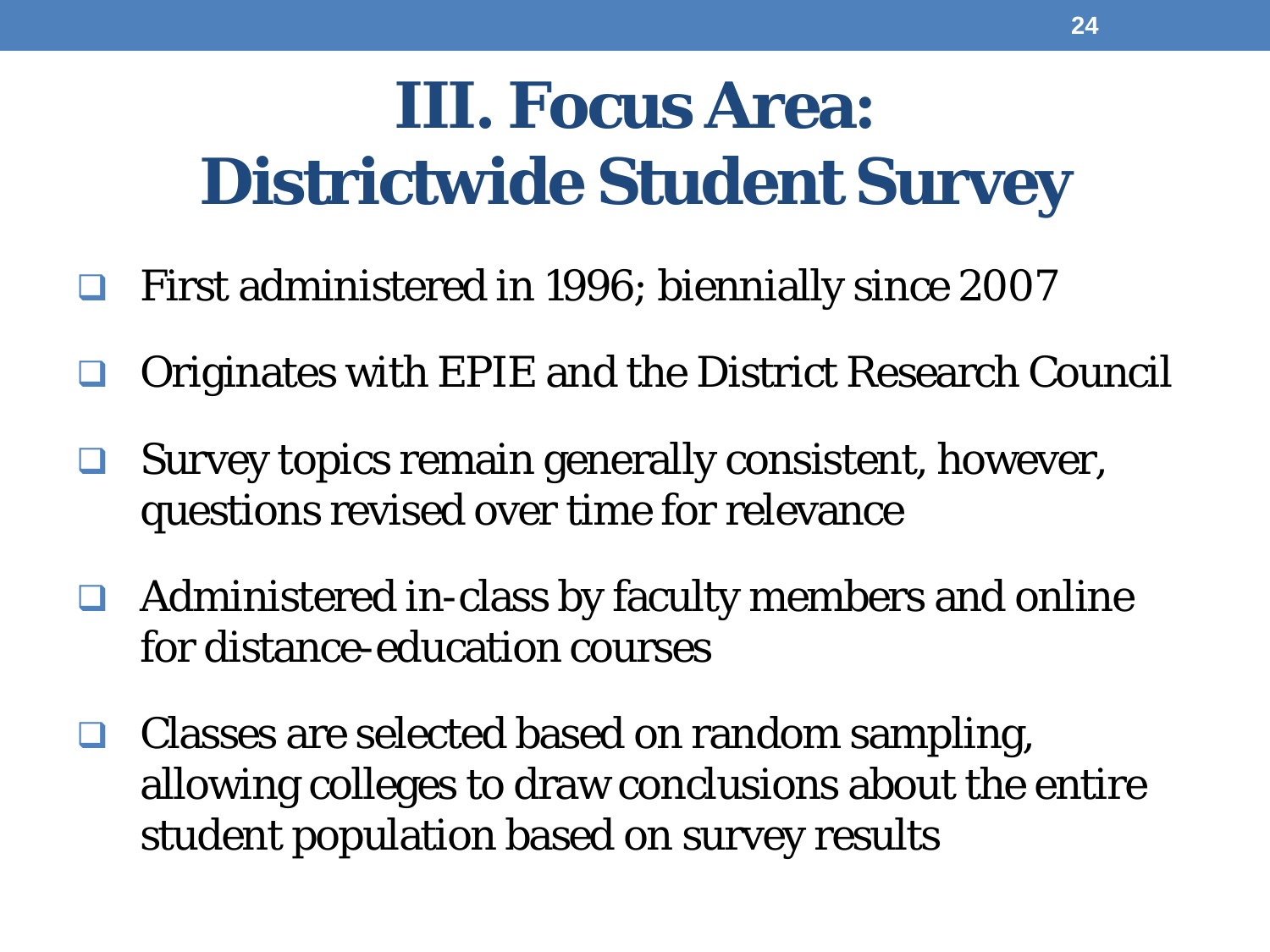## **III. Focus Area: Districtwide Student Survey**

- First administered in 1996; biennially since 2007
- Originates with EPIE and the District Research Council
- Survey topics remain generally consistent, however, questions revised over time for relevance
- Administered in-class by faculty members and online for distance-education courses
- $\Box$  Classes are selected based on random sampling, allowing colleges to draw conclusions about the entire student population based on survey results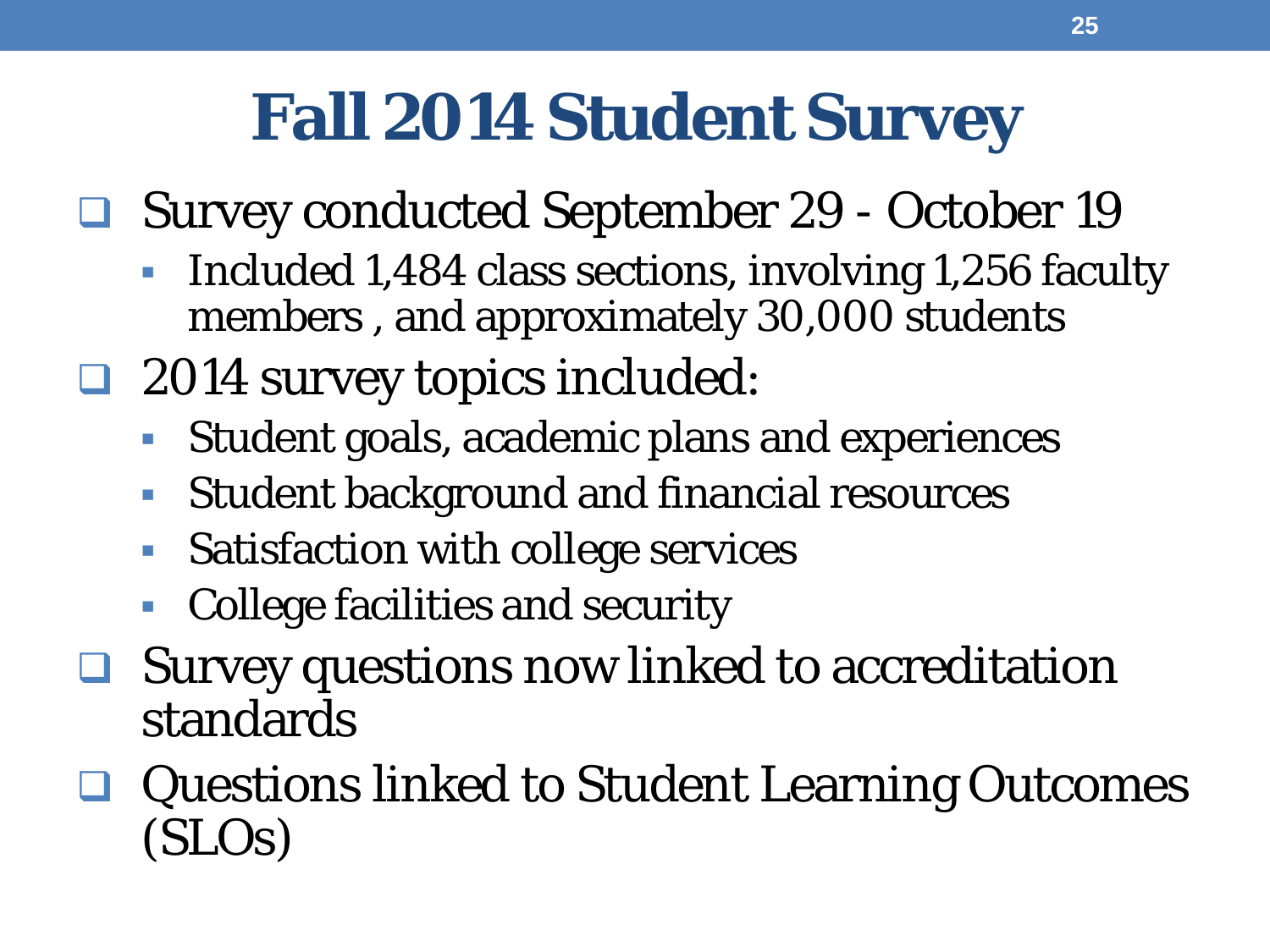### **Fall 2014 Student Survey**

- Survey conducted September 29 October 19
	- Included 1,484 class sections, involving 1,256 faculty members , and approximately 30,000 students
- □ 2014 survey topics included:
	- Student goals, academic plans and experiences
	- Student background and financial resources
	- **Satisfaction with college services**
	- College facilities and security
- **□** Survey questions now linked to accreditation standards
- Questions linked to Student Learning Outcomes (SLOs)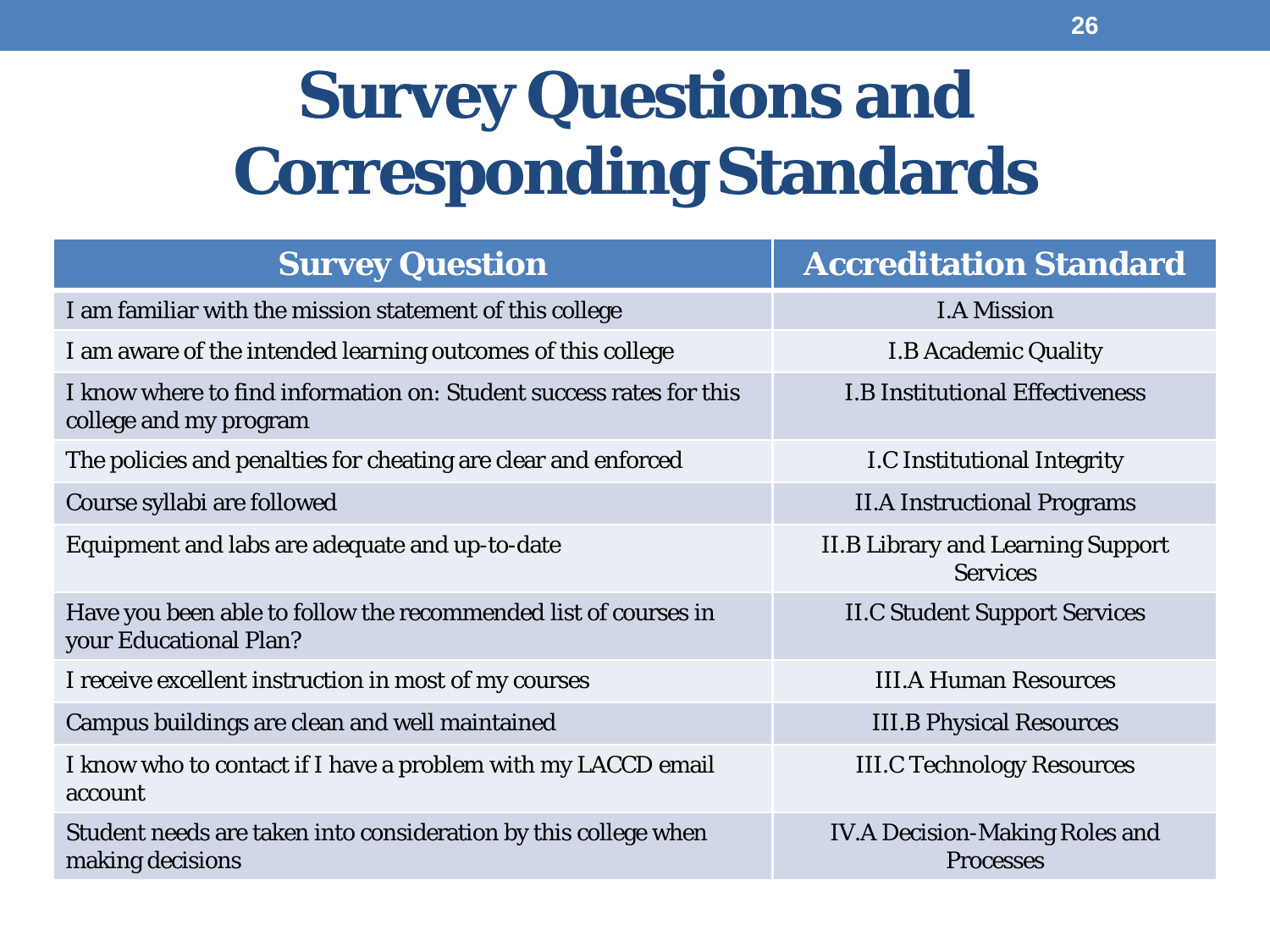## **Survey Questions and Corresponding Standards**

| <b>Survey Question</b>                                                                        | <b>Accreditation Standard</b>                               |
|-----------------------------------------------------------------------------------------------|-------------------------------------------------------------|
| I am familiar with the mission statement of this college                                      | <b>I.A Mission</b>                                          |
| I am aware of the intended learning outcomes of this college                                  | <b>I.B Academic Quality</b>                                 |
| I know where to find information on: Student success rates for this<br>college and my program | <b>I.B Institutional Effectiveness</b>                      |
| The policies and penalties for cheating are clear and enforced                                | <b>I.C Institutional Integrity</b>                          |
| Course syllabi are followed                                                                   | <b>II.A Instructional Programs</b>                          |
| Equipment and labs are adequate and up-to-date                                                | <b>II.B Library and Learning Support</b><br><b>Services</b> |
| Have you been able to follow the recommended list of courses in<br>your Educational Plan?     | <b>II.C Student Support Services</b>                        |
| I receive excellent instruction in most of my courses                                         | <b>III.A Human Resources</b>                                |
| Campus buildings are clean and well maintained                                                | <b>III.B Physical Resources</b>                             |
| I know who to contact if I have a problem with my LACCD email<br>account                      | <b>III.C Technology Resources</b>                           |
| Student needs are taken into consideration by this college when<br>making decisions           | <b>IV.A Decision-Making Roles and</b><br><b>Processes</b>   |
|                                                                                               |                                                             |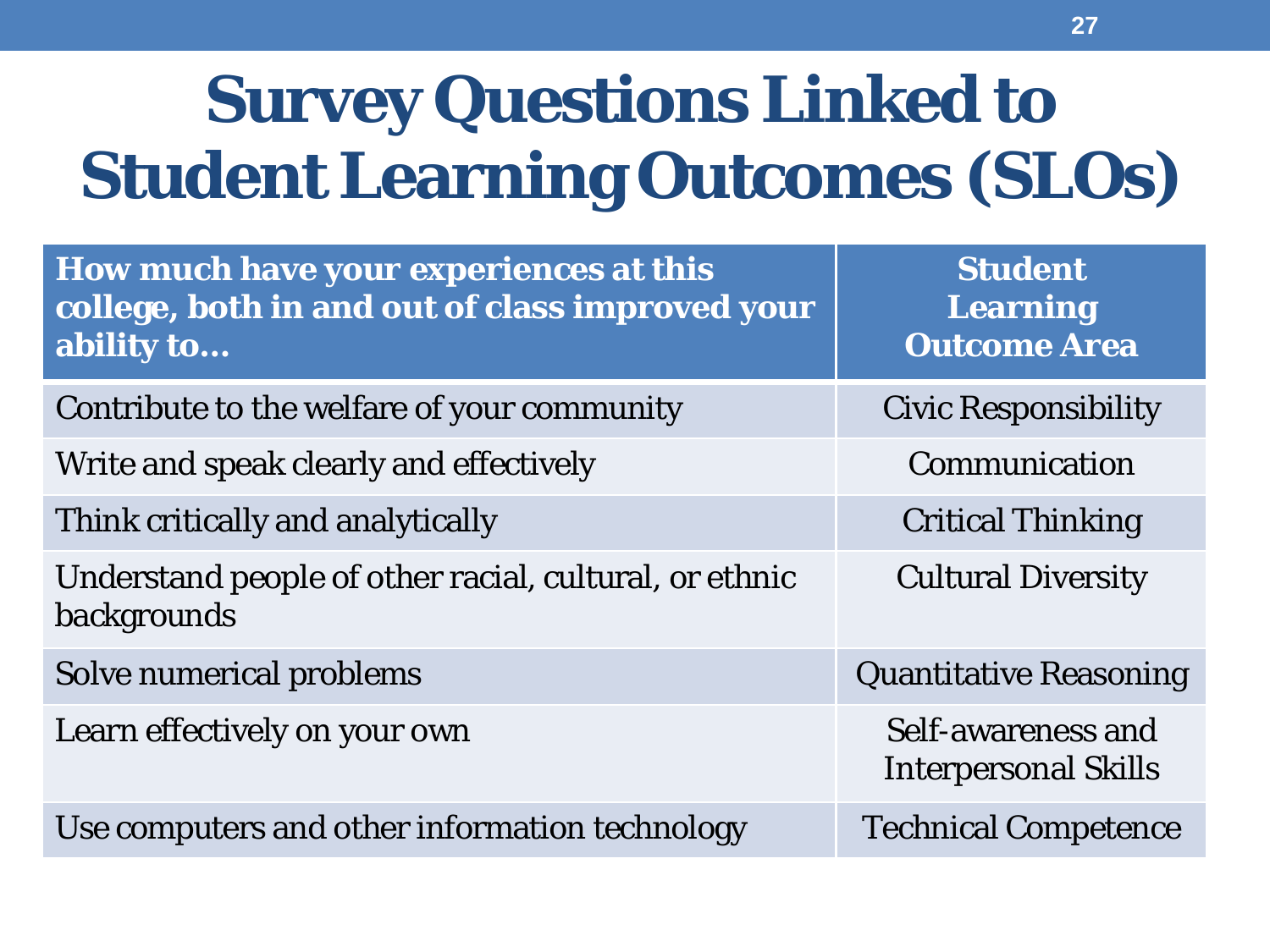## **Survey Questions Linked to Student Learning Outcomes (SLOs)**

| How much have your experiences at this<br>college, both in and out of class improved your<br>ability to | <b>Student</b><br><b>Learning</b><br><b>Outcome Area</b> |
|---------------------------------------------------------------------------------------------------------|----------------------------------------------------------|
| Contribute to the welfare of your community                                                             | <b>Civic Responsibility</b>                              |
| Write and speak clearly and effectively                                                                 | Communication                                            |
| Think critically and analytically                                                                       | <b>Critical Thinking</b>                                 |
| Understand people of other racial, cultural, or ethnic<br>backgrounds                                   | <b>Cultural Diversity</b>                                |
| Solve numerical problems                                                                                | <b>Quantitative Reasoning</b>                            |
| Learn effectively on your own                                                                           | Self-awareness and<br><b>Interpersonal Skills</b>        |
| Use computers and other information technology                                                          | <b>Technical Competence</b>                              |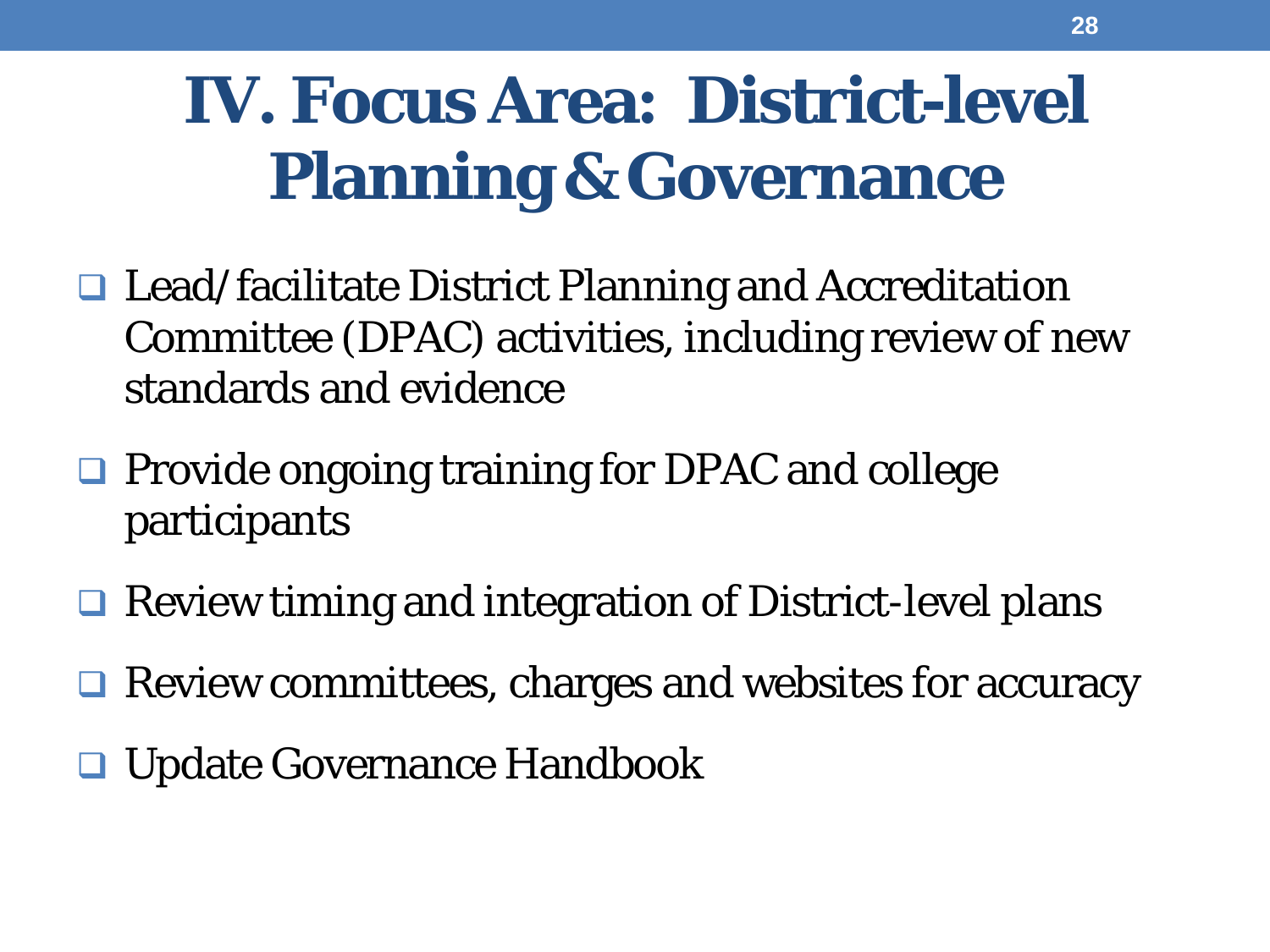## **IV. Focus Area: District-level Planning & Governance**

- □ Lead/facilitate District Planning and Accreditation Committee (DPAC) activities, including review of new standards and evidence
- **□ Provide ongoing training for DPAC and college** participants
- **□ Review timing and integration of District-level plans**
- □ Review committees, charges and websites for accuracy
- **□ Update Governance Handbook**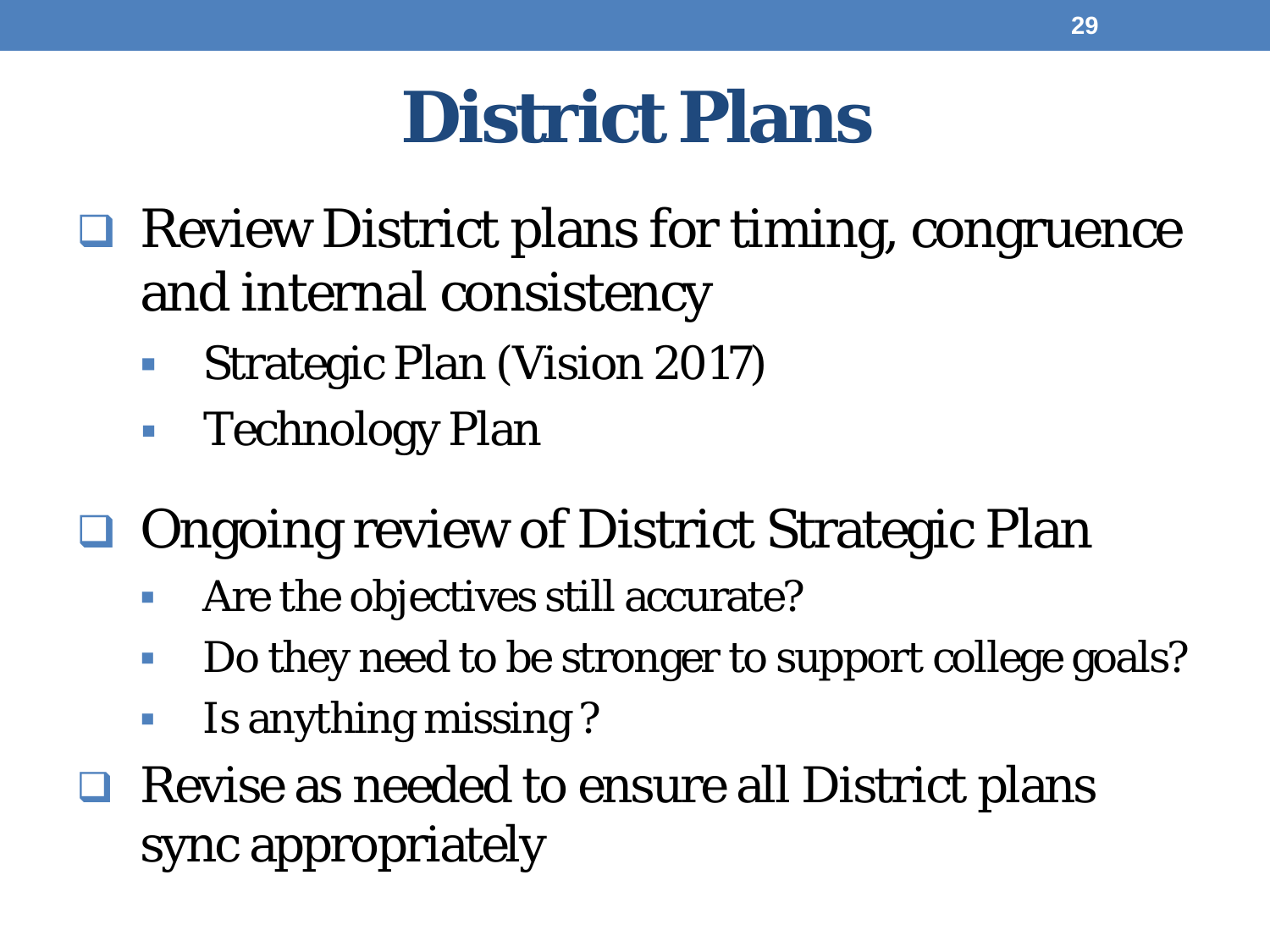## **District Plans**

- **□ Review District plans for timing, congruence** and internal consistency
	- Strategic Plan (Vision 2017)
	- Technology Plan
- **□ Ongoing review of District Strategic Plan** 
	- Are the objectives still accurate?
	- Do they need to be stronger to support college goals?
	- **IS anything missing?**
- $\Box$  Revise as needed to ensure all District plans sync appropriately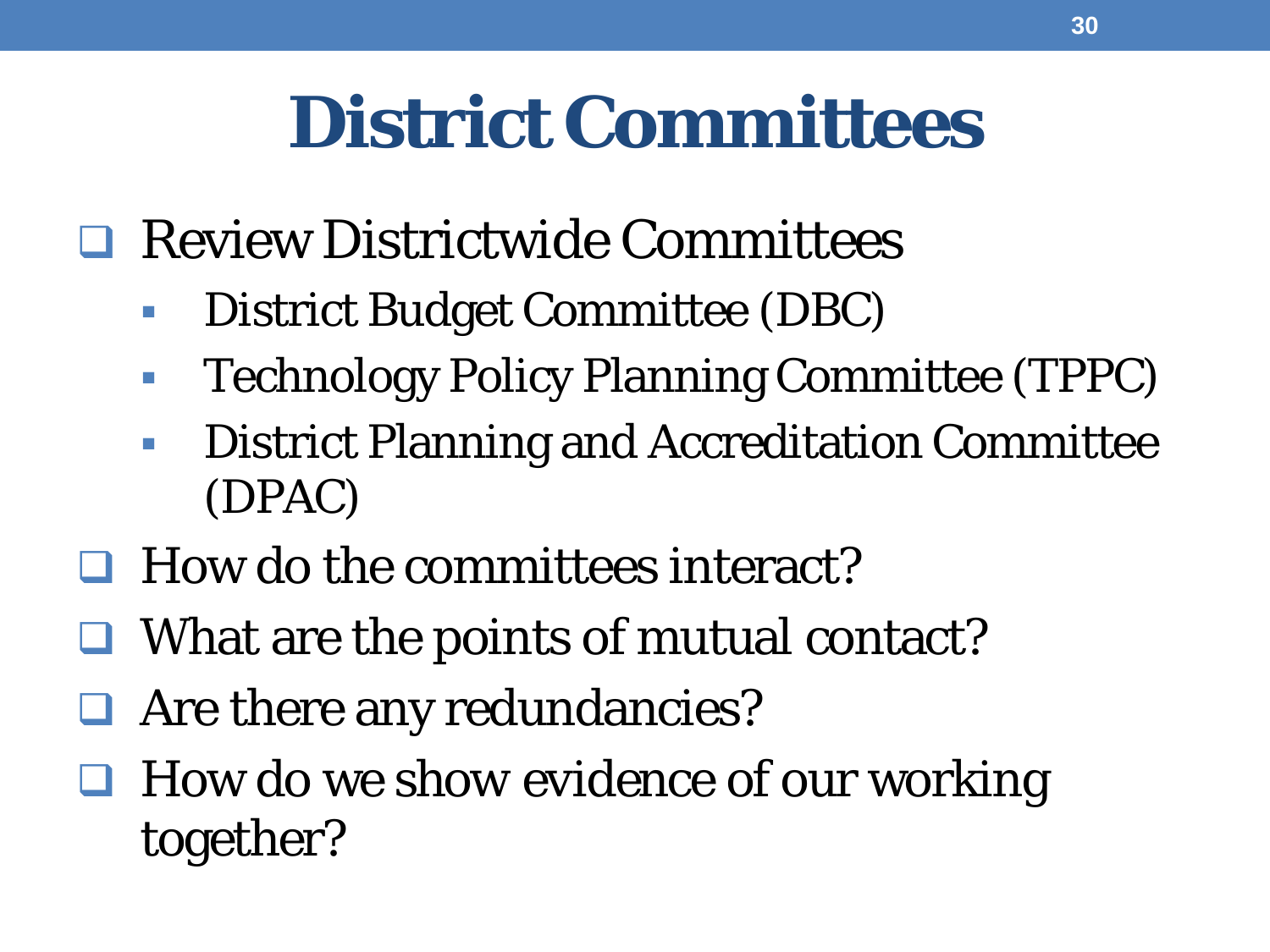## **District Committees**

- **Review Districtwide Committees** 
	- District Budget Committee (DBC)
	- **Technology Policy Planning Committee (TPPC)**
	- **District Planning and Accreditation Committee** (DPAC)
- $\Box$  How do the committees interact?
- $\Box$  What are the points of mutual contact?
- □ Are there any redundancies?
- How do we *show evidence* of our working together?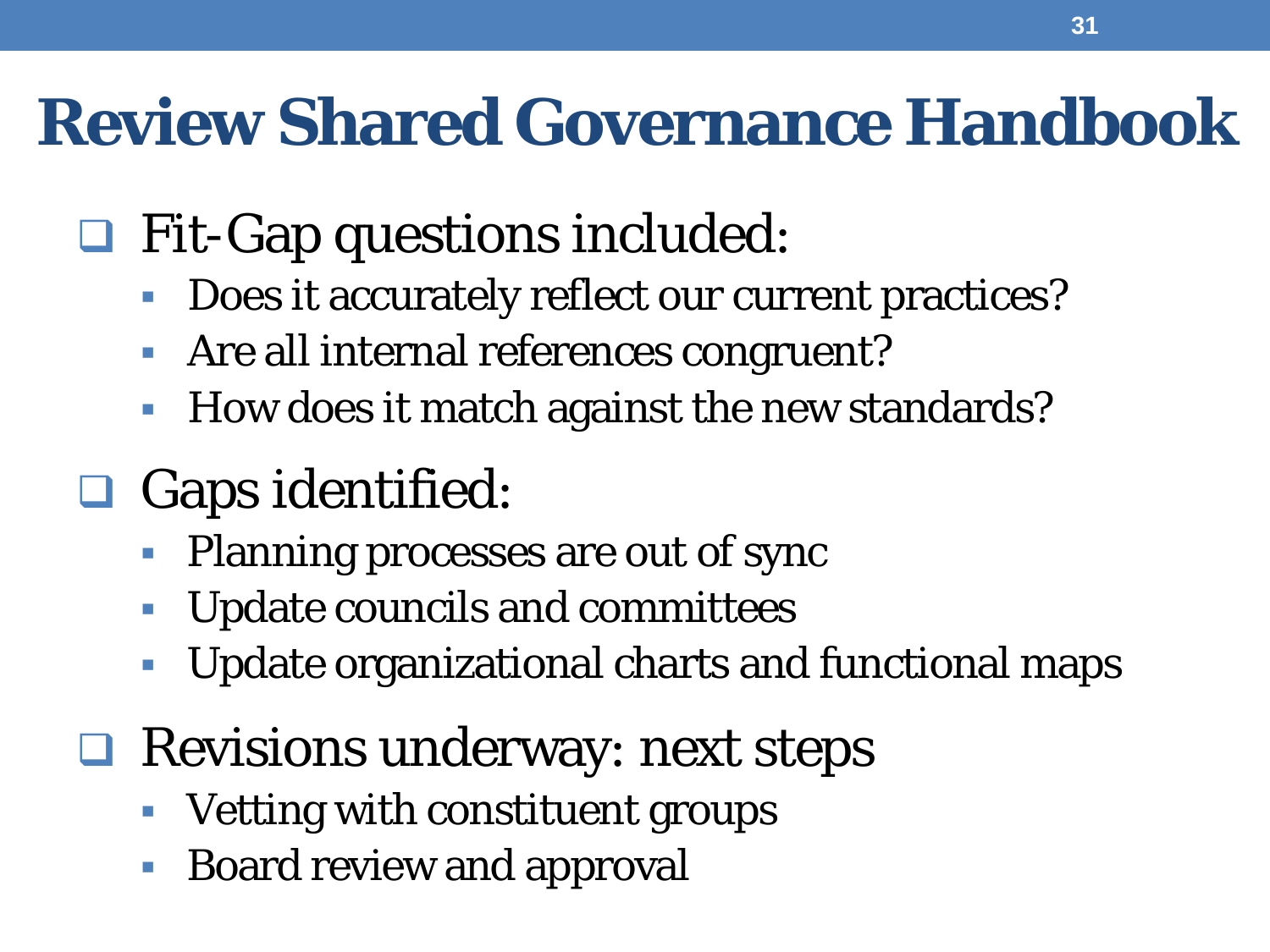#### **Review Shared Governance Handbook**

#### **□ Fit-Gap questions included:**

- Does it accurately reflect our current practices?
- Are all internal references congruent?
- How does it match against the new standards?

#### **□** Gaps identified:

- Planning processes are out of sync
- **Update councils and committees**
- **Update organizational charts and functional maps**

#### **□ Revisions underway: next steps**

- Vetting with constituent groups
- Board review and approval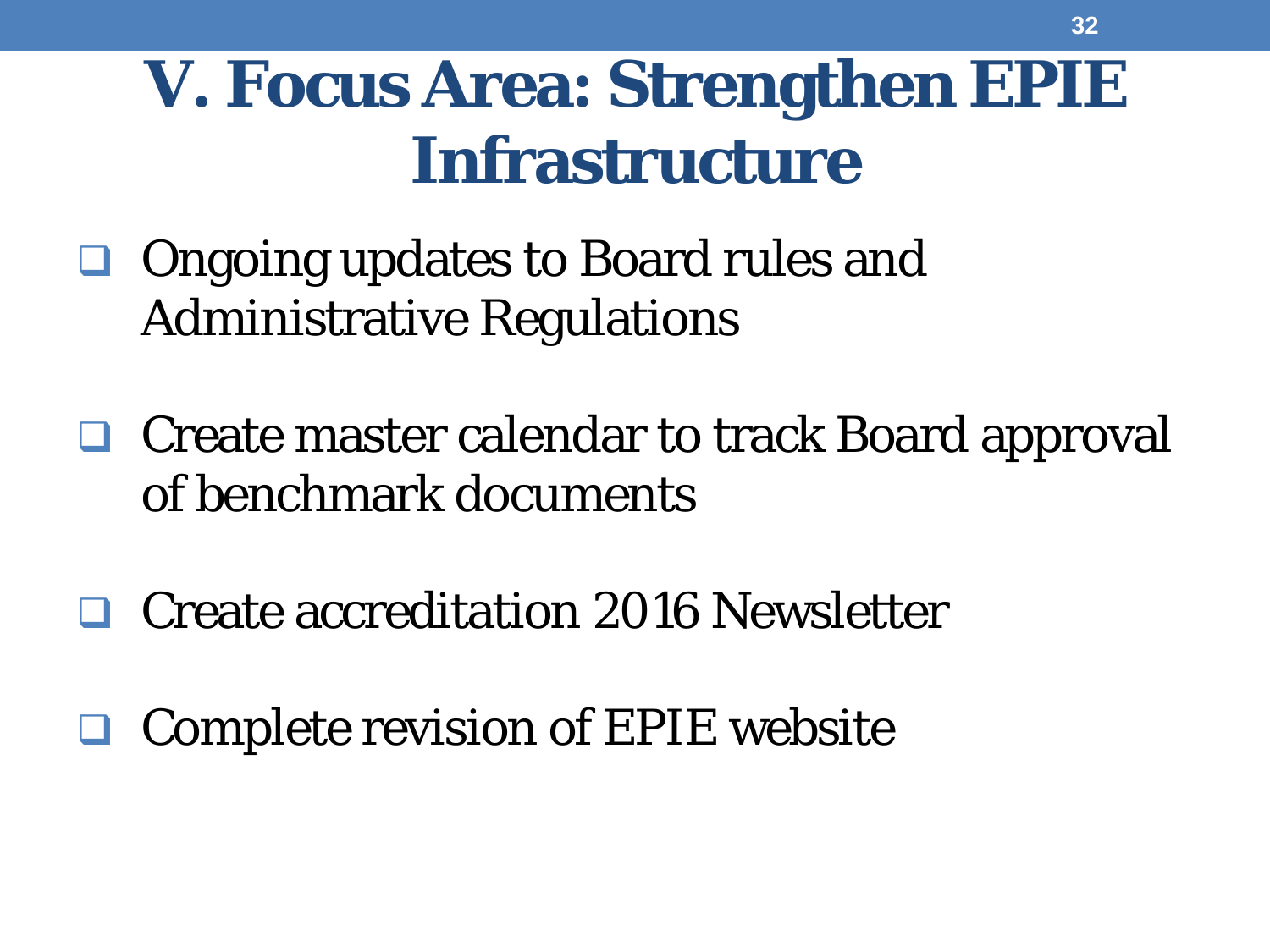### **V. Focus Area: Strengthen EPIE Infrastructure**

- □ Ongoing updates to Board rules and Administrative Regulations
- **□** Create master calendar to track Board approval of benchmark documents
- Create accreditation 2016 Newsletter
- □ Complete revision of EPIE website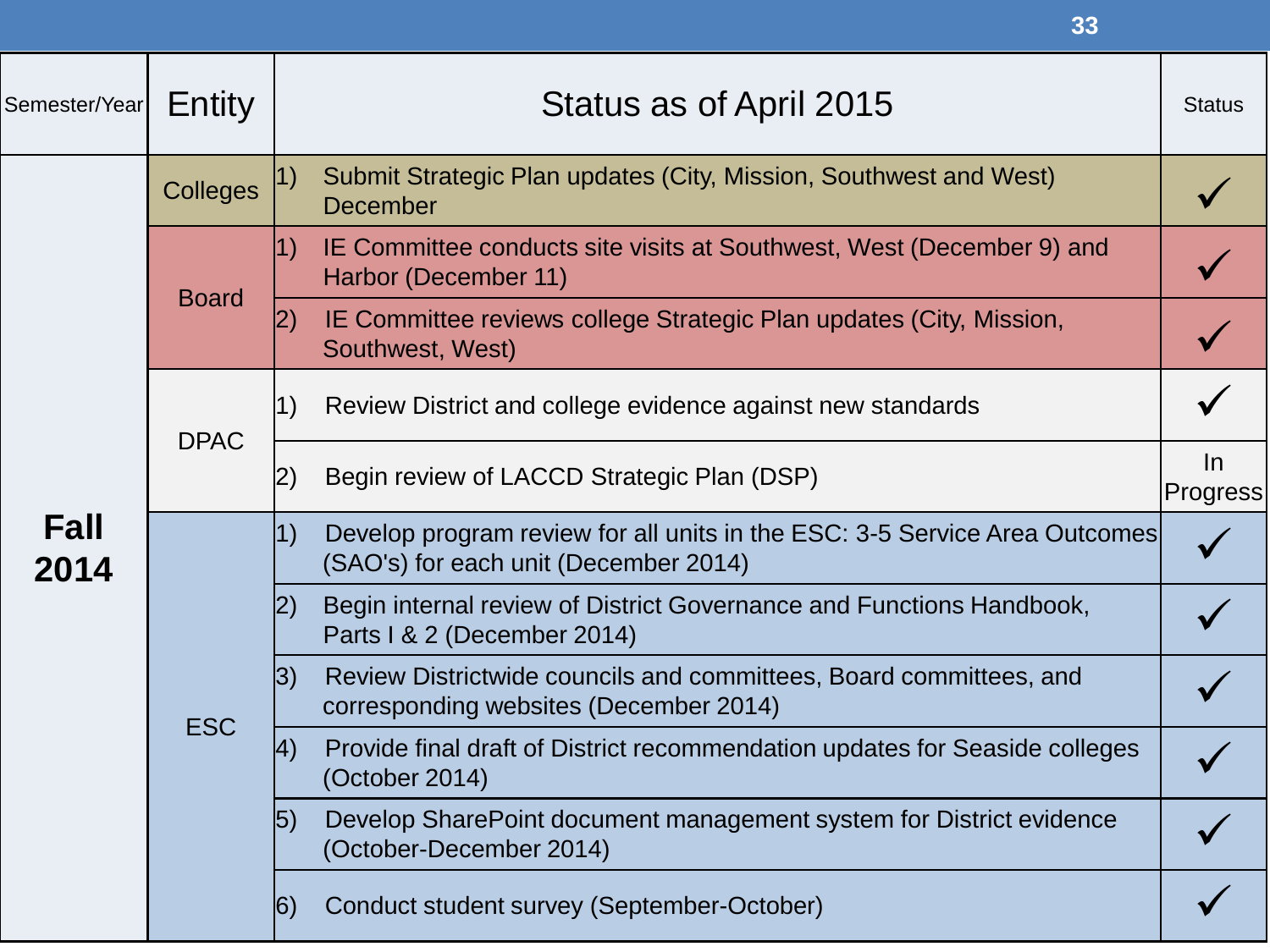|               |                 | 33                                                                                                                        |                          |
|---------------|-----------------|---------------------------------------------------------------------------------------------------------------------------|--------------------------|
| Semester/Year | Entity          | Status as of April 2015                                                                                                   | <b>Status</b>            |
|               | <b>Colleges</b> | Submit Strategic Plan updates (City, Mission, Southwest and West)<br> 1)<br><b>December</b>                               |                          |
|               | <b>Board</b>    | IE Committee conducts site visits at Southwest, West (December 9) and<br> 1)<br>Harbor (December 11)                      |                          |
|               |                 | $\left 2\right)$<br>IE Committee reviews college Strategic Plan updates (City, Mission,<br>Southwest, West)               |                          |
|               | <b>DPAC</b>     | Review District and college evidence against new standards<br> 1)                                                         |                          |
|               |                 | Begin review of LACCD Strategic Plan (DSP)<br> 2)                                                                         | $\ln$<br><b>Progress</b> |
| Fall<br>2014  |                 | 1)<br>Develop program review for all units in the ESC: 3-5 Service Area Outcomes<br>(SAO's) for each unit (December 2014) |                          |
|               |                 | Begin internal review of District Governance and Functions Handbook,<br> 2)<br>Parts   & 2 (December 2014)                |                          |
|               | <b>ESC</b>      | 3)<br>Review Districtwide councils and committees, Board committees, and<br>corresponding websites (December 2014)        |                          |
|               |                 | Provide final draft of District recommendation updates for Seaside colleges<br> 4)<br>(October 2014)                      |                          |
|               |                 | Develop SharePoint document management system for District evidence<br> 5)<br>(October-December 2014)                     |                          |
|               |                 | Conduct student survey (September-October)<br> 6)                                                                         |                          |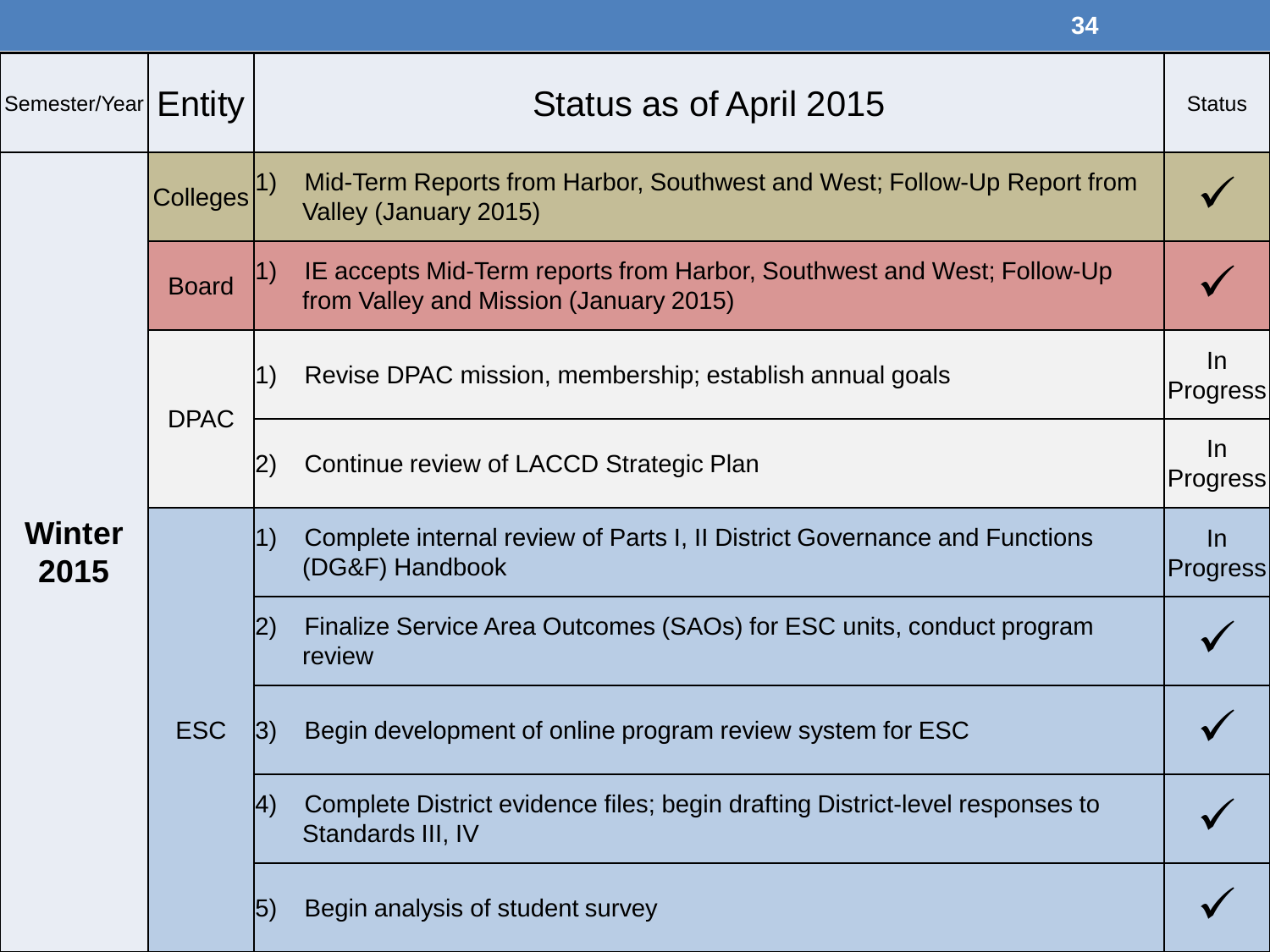|                       |                 | 34                                                                                                               |                          |
|-----------------------|-----------------|------------------------------------------------------------------------------------------------------------------|--------------------------|
| Semester/Year         | Entity          | Status as of April 2015                                                                                          | <b>Status</b>            |
|                       | <b>Colleges</b> | Mid-Term Reports from Harbor, Southwest and West; Follow-Up Report from<br>Valley (January 2015)                 |                          |
|                       | <b>Board</b>    | IE accepts Mid-Term reports from Harbor, Southwest and West; Follow-Up<br>from Valley and Mission (January 2015) |                          |
| <b>Winter</b><br>2015 | <b>DPAC</b>     | Revise DPAC mission, membership; establish annual goals<br> 1)                                                   | $\ln$<br><b>Progress</b> |
|                       |                 | Continue review of LACCD Strategic Plan<br>$ 2\rangle$                                                           | $\ln$<br><b>Progress</b> |
|                       | <b>ESC</b>      | Complete internal review of Parts I, II District Governance and Functions<br> 1)<br>(DG&F) Handbook              | $\ln$<br><b>Progress</b> |
|                       |                 | Finalize Service Area Outcomes (SAOs) for ESC units, conduct program<br> 2)<br>review                            |                          |
|                       |                 | Begin development of online program review system for ESC<br> 3)                                                 |                          |
|                       |                 | Complete District evidence files; begin drafting District-level responses to<br> 4)<br>Standards III, IV         |                          |
|                       |                 | Begin analysis of student survey<br> 5)                                                                          |                          |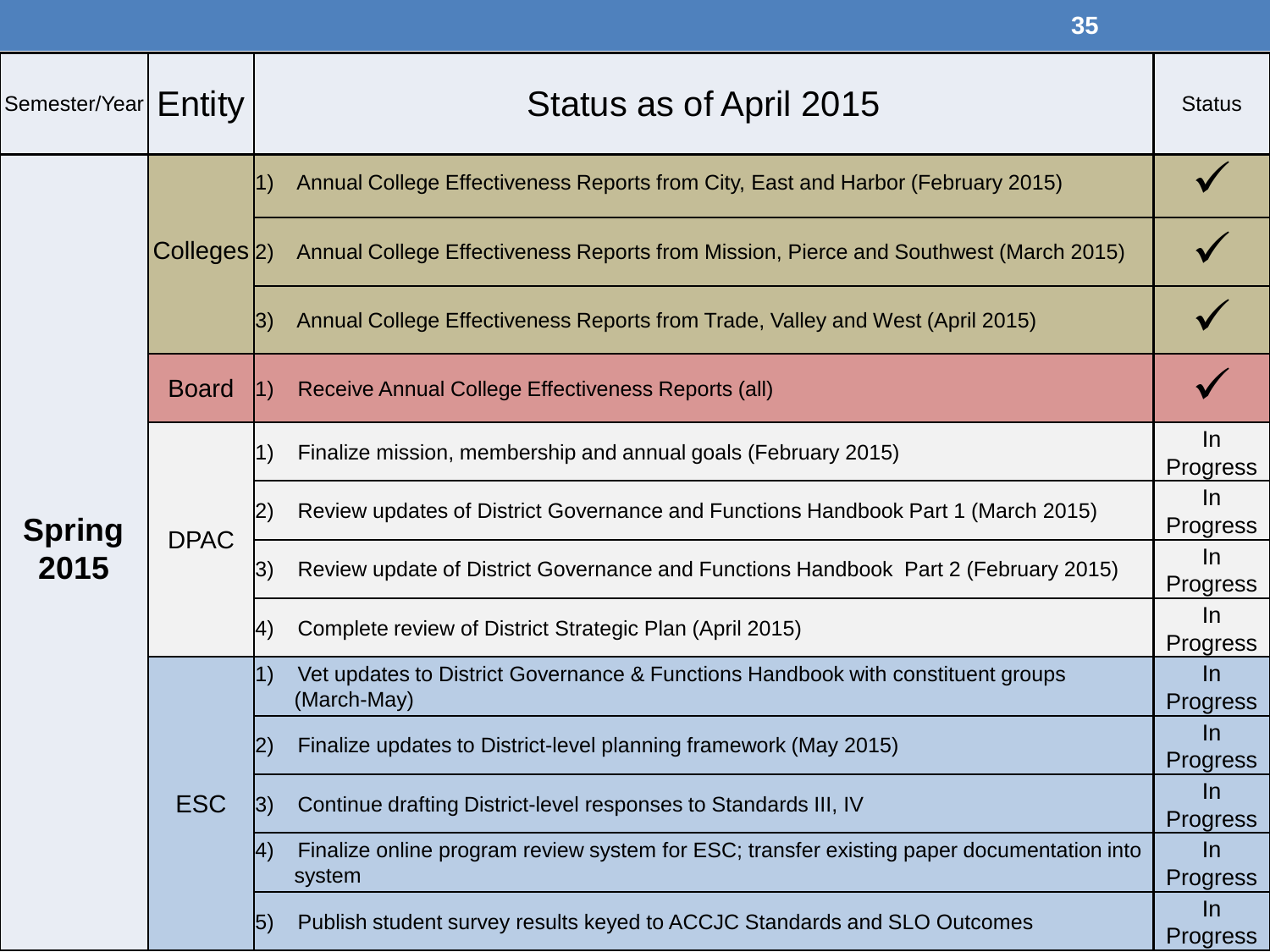|               |                         | 35                                                                                                                 |                                                                                                      |                                                                     |                   |
|---------------|-------------------------|--------------------------------------------------------------------------------------------------------------------|------------------------------------------------------------------------------------------------------|---------------------------------------------------------------------|-------------------|
| Semester/Year | Entity                  | Status as of April 2015                                                                                            | <b>Status</b>                                                                                        |                                                                     |                   |
|               |                         | Annual College Effectiveness Reports from City, East and Harbor (February 2015)<br>1)                              |                                                                                                      |                                                                     |                   |
|               | Colleges <sup>[2]</sup> | Annual College Effectiveness Reports from Mission, Pierce and Southwest (March 2015)                               |                                                                                                      |                                                                     |                   |
|               |                         | Annual College Effectiveness Reports from Trade, Valley and West (April 2015)<br> 3)                               |                                                                                                      |                                                                     |                   |
|               | <b>Board</b>            | Receive Annual College Effectiveness Reports (all)<br> 1)                                                          |                                                                                                      |                                                                     |                   |
|               | <b>DPAC</b>             |                                                                                                                    |                                                                                                      | Finalize mission, membership and annual goals (February 2015)<br>1) | $\ln$<br>Progress |
| <b>Spring</b> |                         | Review updates of District Governance and Functions Handbook Part 1 (March 2015)<br>2)                             | $\ln$<br>Progress                                                                                    |                                                                     |                   |
| 2015          |                         |                                                                                                                    | Review update of District Governance and Functions Handbook Part 2 (February 2015)<br>3)             | $\ln$<br>Progress                                                   |                   |
|               |                         | Complete review of District Strategic Plan (April 2015)<br> 4)                                                     | $\ln$<br><b>Progress</b>                                                                             |                                                                     |                   |
|               |                         |                                                                                                                    | Vet updates to District Governance & Functions Handbook with constituent groups<br>1)<br>(March-May) | $\ln$<br><b>Progress</b>                                            |                   |
|               |                         | Finalize updates to District-level planning framework (May 2015)                                                   | $\ln$<br><b>Progress</b>                                                                             |                                                                     |                   |
|               | <b>ESC</b>              | Continue drafting District-level responses to Standards III, IV<br> 3)                                             | In<br><b>Progress</b>                                                                                |                                                                     |                   |
|               |                         | Finalize online program review system for ESC; transfer existing paper documentation into<br>$ 4\rangle$<br>system | $\ln$<br>Progress                                                                                    |                                                                     |                   |
|               |                         | Publish student survey results keyed to ACCJC Standards and SLO Outcomes<br> 5)                                    | $\ln$<br><b>Progress</b>                                                                             |                                                                     |                   |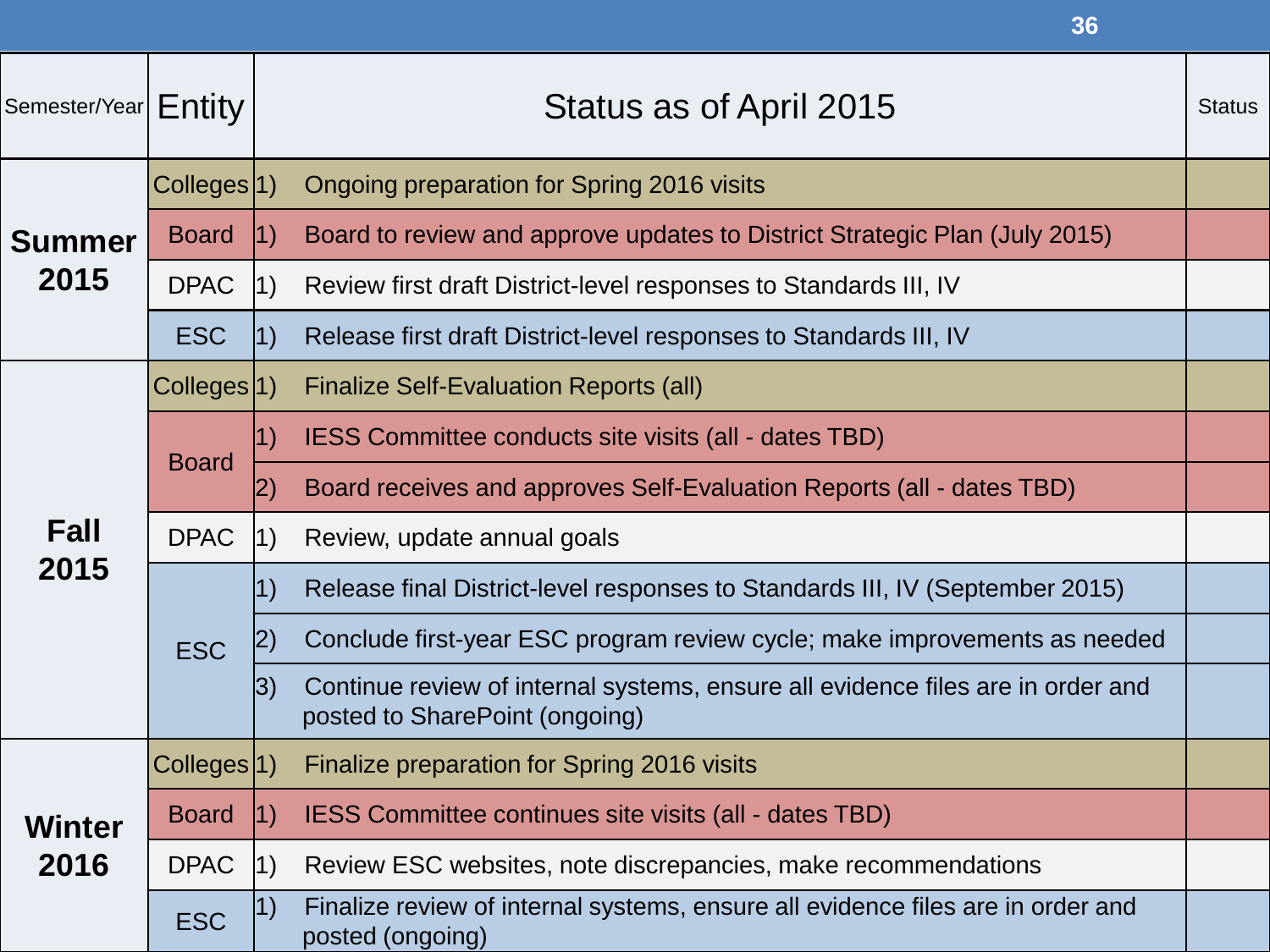|                               |                         |            | 36                                                                                                                |               |
|-------------------------------|-------------------------|------------|-------------------------------------------------------------------------------------------------------------------|---------------|
| Semester/Year  ${\sf Entity}$ |                         |            | Status as of April 2015                                                                                           | <b>Status</b> |
|                               | Colleges <sup>[1]</sup> |            | <b>Ongoing preparation for Spring 2016 visits</b>                                                                 |               |
| <b>Summer</b>                 | <b>Board</b>            | 1)         | Board to review and approve updates to District Strategic Plan (July 2015)                                        |               |
| 2015                          | <b>DPAC</b>             | 1)         | Review first draft District-level responses to Standards III, IV                                                  |               |
|                               | <b>ESC</b>              | 1)         | Release first draft District-level responses to Standards III, IV                                                 |               |
|                               | Colleges <sup>[1]</sup> |            | <b>Finalize Self-Evaluation Reports (all)</b>                                                                     |               |
|                               | <b>Board</b>            | $\vert 1)$ | IESS Committee conducts site visits (all - dates TBD)                                                             |               |
|                               |                         | 2)         | Board receives and approves Self-Evaluation Reports (all - dates TBD)                                             |               |
| Fall                          | <b>DPAC</b>             | 1)         | Review, update annual goals                                                                                       |               |
| 2015                          | <b>ESC</b>              | 1)         | Release final District-level responses to Standards III, IV (September 2015)                                      |               |
|                               |                         |            | Conclude first-year ESC program review cycle; make improvements as needed                                         |               |
|                               |                         | 3)         | Continue review of internal systems, ensure all evidence files are in order and<br>posted to SharePoint (ongoing) |               |
|                               | Colleges <sup>[1]</sup> |            | Finalize preparation for Spring 2016 visits                                                                       |               |
| Winter                        | <b>Board</b>            | 1)         | IESS Committee continues site visits (all - dates TBD)                                                            |               |
| 2016                          | <b>DPAC</b>             | 1)         | Review ESC websites, note discrepancies, make recommendations                                                     |               |
|                               | <b>ESC</b>              | 1)         | Finalize review of internal systems, ensure all evidence files are in order and<br>posted (ongoing)               |               |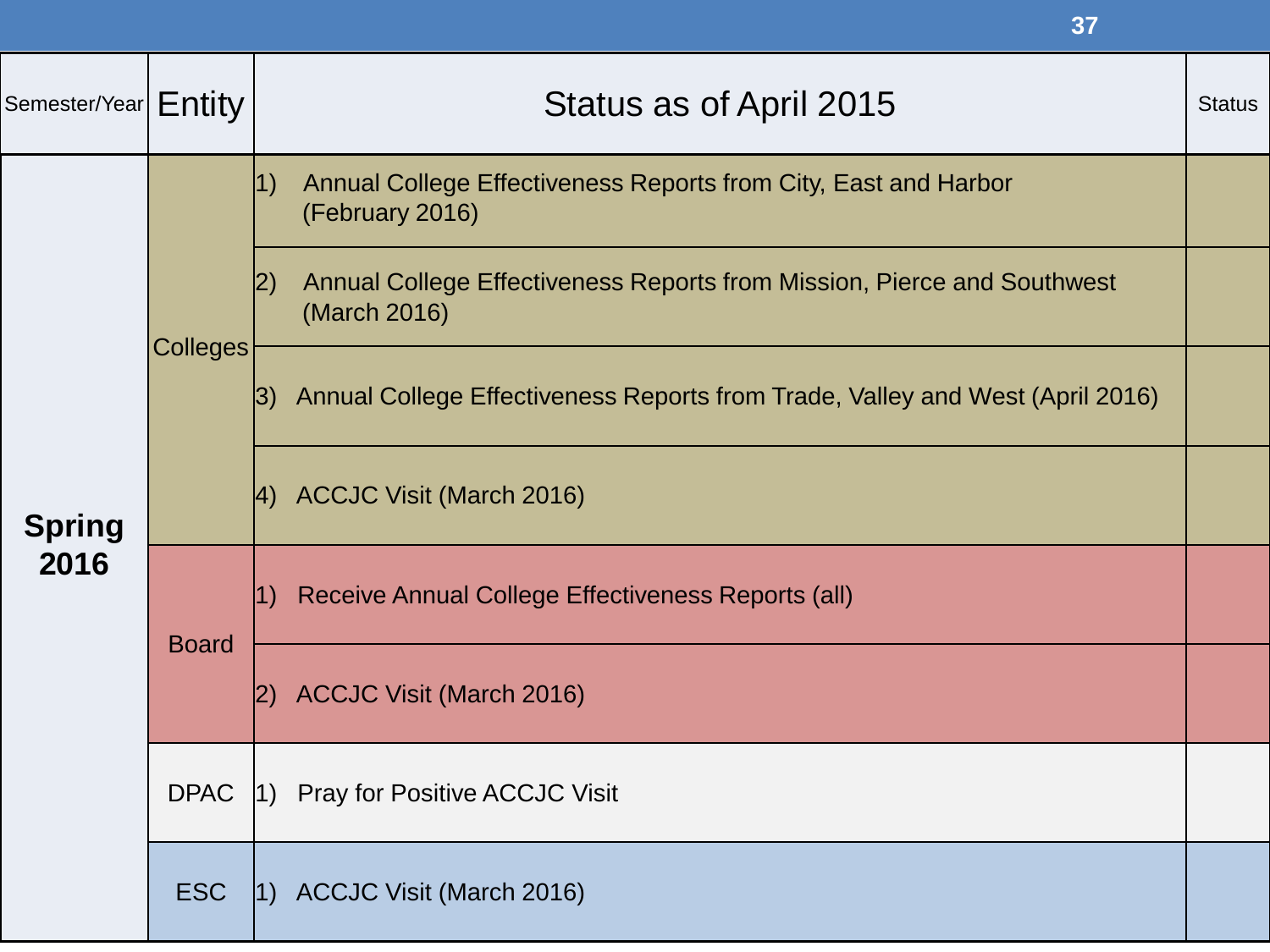|                                          |                 | 37                                                                                             |               |
|------------------------------------------|-----------------|------------------------------------------------------------------------------------------------|---------------|
| Semester/Year $\mid$ $\mathsf{Entity}$ . |                 | Status as of April 2015                                                                        | <b>Status</b> |
|                                          |                 | Annual College Effectiveness Reports from City, East and Harbor<br> 1)<br>(February 2016)      |               |
|                                          | <b>Colleges</b> | Annual College Effectiveness Reports from Mission, Pierce and Southwest<br>I2)<br>(March 2016) |               |
| <b>Spring</b><br>2016                    |                 | Annual College Effectiveness Reports from Trade, Valley and West (April 2016)<br> 3)           |               |
|                                          |                 | $ 4)$ ACCJC Visit (March 2016)                                                                 |               |
|                                          | <b>Board</b>    | Receive Annual College Effectiveness Reports (all)                                             |               |
|                                          |                 | <b>ACCJC Visit (March 2016)</b><br> 2)                                                         |               |
|                                          | <b>DPAC</b>     | Pray for Positive ACCJC Visit<br>$ 1\rangle$                                                   |               |
|                                          | <b>ESC</b>      | 1) ACCJC Visit (March 2016)                                                                    |               |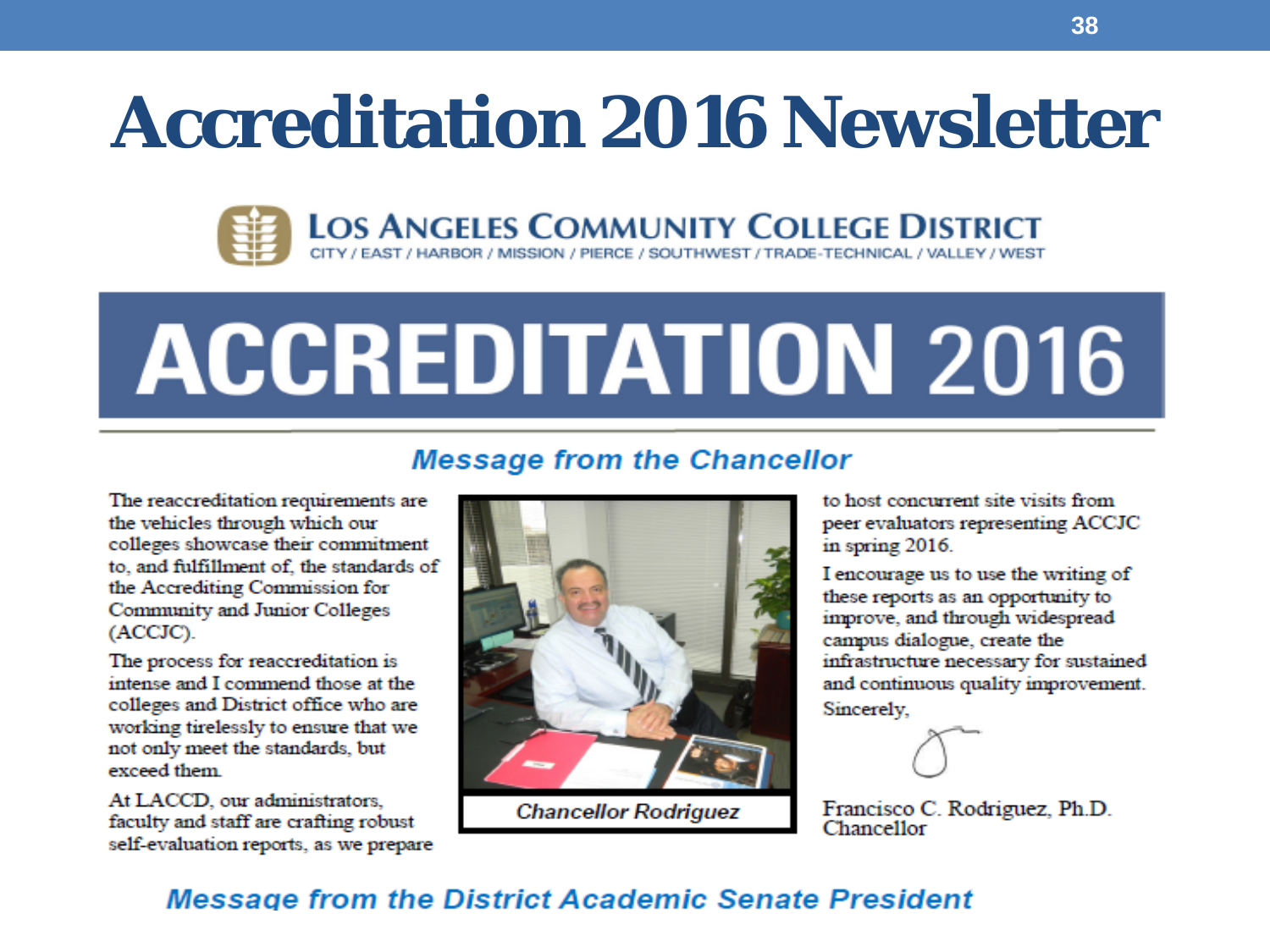## **Accreditation 2016 Newsletter**



# **ACCREDITATION 2016**

#### **Message from the Chancellor**

The reaccreditation requirements are the vehicles through which our colleges showcase their commitment to, and fulfillment of, the standards of the Accrediting Commission for Community and Junior Colleges (ACCJC).

The process for reaccreditation is intense and I commend those at the colleges and District office who are working tirelessly to ensure that we not only meet the standards, but exceed them

At LACCD, our administrators. faculty and staff are crafting robust self-evaluation reports, as we prepare



**Chancellor Rodriguez** 

to host concurrent site visits from peer evaluators representing ACCJC in spring 2016.

I encourage us to use the writing of these reports as an opportunity to improve, and through widespread campus dialogue, create the infrastructure necessary for sustained and continuous quality improvement. Sincerely,

Francisco C. Rodriguez, Ph.D. Chancellor

#### **Message from the District Academic Senate President**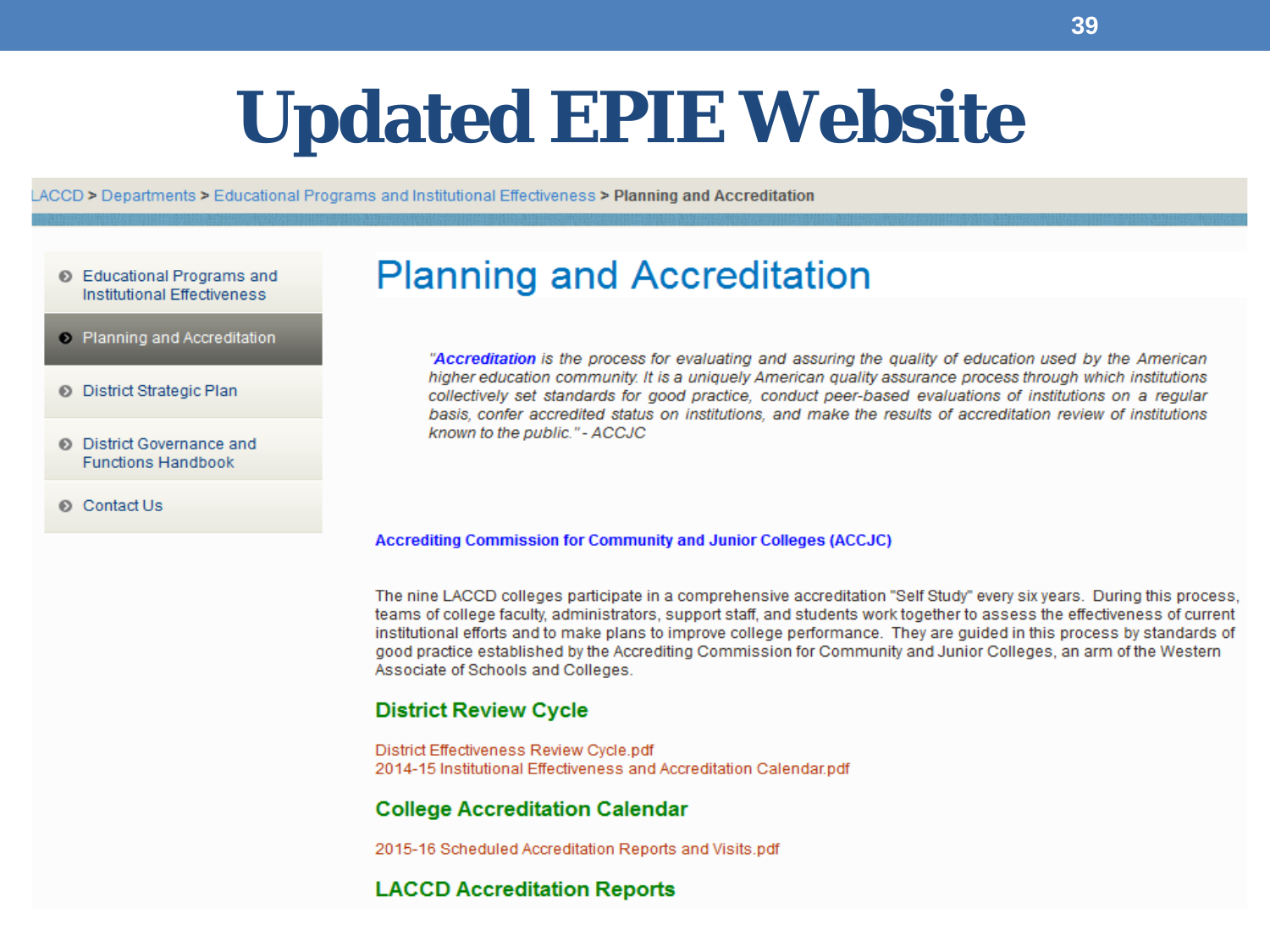## **Updated EPIE Website**

LACCD > Departments > Educational Programs and Institutional Effectiveness > Planning and Accreditation

- Educational Programs and **Institutional Effectiveness**
- Planning and Accreditation
- **District Strategic Plan**
- **District Governance and Functions Handbook**
- Contact Us

#### **Planning and Accreditation**

"Accreditation is the process for evaluating and assuring the quality of education used by the American higher education community. It is a uniquely American quality assurance process through which institutions collectively set standards for good practice, conduct peer-based evaluations of institutions on a regular basis, confer accredited status on institutions, and make the results of accreditation review of institutions known to the public." - ACCJC

#### **Accrediting Commission for Community and Junior Colleges (ACCJC)**

The nine LACCD colleges participate in a comprehensive accreditation "Self Study" every six years. During this process, teams of college faculty, administrators, support staff, and students work together to assess the effectiveness of current institutional efforts and to make plans to improve college performance. They are quided in this process by standards of good practice established by the Accrediting Commission for Community and Junior Colleges, an arm of the Western Associate of Schools and Colleges.

#### **District Review Cycle**

District Effectiveness Review Cycle.pdf 2014-15 Institutional Effectiveness and Accreditation Calendar.pdf

#### **College Accreditation Calendar**

2015-16 Scheduled Accreditation Reports and Visits.pdf

#### **LACCD Accreditation Reports**